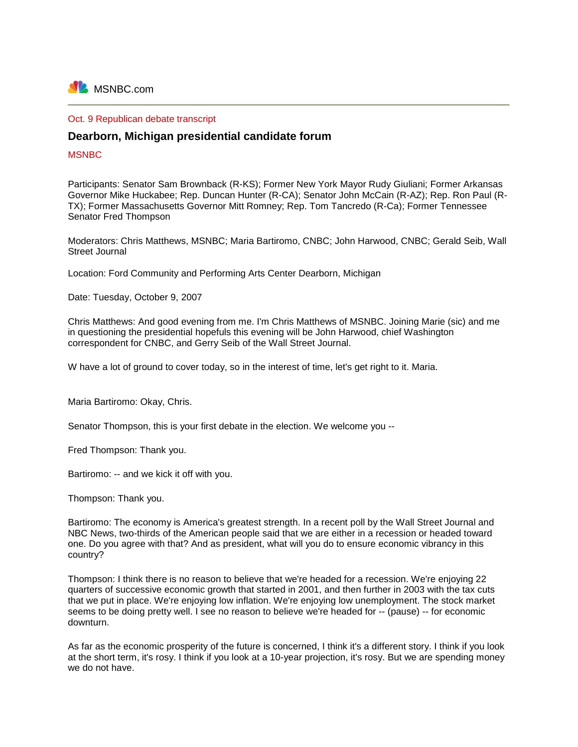

## Oct. 9 Republican debate transcript

# **Dearborn, Michigan presidential candidate forum**

## **MSNBC**

Participants: Senator Sam Brownback (R-KS); Former New York Mayor Rudy Giuliani; Former Arkansas Governor Mike Huckabee; Rep. Duncan Hunter (R-CA); Senator John McCain (R-AZ); Rep. Ron Paul (R-TX); Former Massachusetts Governor Mitt Romney; Rep. Tom Tancredo (R-Ca); Former Tennessee Senator Fred Thompson

Moderators: Chris Matthews, MSNBC; Maria Bartiromo, CNBC; John Harwood, CNBC; Gerald Seib, Wall Street Journal

Location: Ford Community and Performing Arts Center Dearborn, Michigan

Date: Tuesday, October 9, 2007

Chris Matthews: And good evening from me. I'm Chris Matthews of MSNBC. Joining Marie (sic) and me in questioning the presidential hopefuls this evening will be John Harwood, chief Washington correspondent for CNBC, and Gerry Seib of the Wall Street Journal.

W have a lot of ground to cover today, so in the interest of time, let's get right to it. Maria.

Maria Bartiromo: Okay, Chris.

Senator Thompson, this is your first debate in the election. We welcome you --

Fred Thompson: Thank you.

Bartiromo: -- and we kick it off with you.

Thompson: Thank you.

Bartiromo: The economy is America's greatest strength. In a recent poll by the Wall Street Journal and NBC News, two-thirds of the American people said that we are either in a recession or headed toward one. Do you agree with that? And as president, what will you do to ensure economic vibrancy in this country?

Thompson: I think there is no reason to believe that we're headed for a recession. We're enjoying 22 quarters of successive economic growth that started in 2001, and then further in 2003 with the tax cuts that we put in place. We're enjoying low inflation. We're enjoying low unemployment. The stock market seems to be doing pretty well. I see no reason to believe we're headed for -- (pause) -- for economic downturn.

As far as the economic prosperity of the future is concerned, I think it's a different story. I think if you look at the short term, it's rosy. I think if you look at a 10-year projection, it's rosy. But we are spending money we do not have.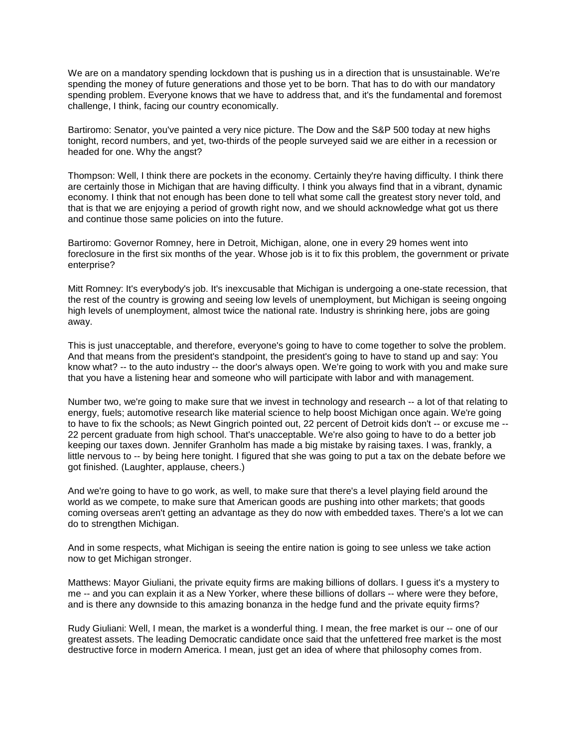We are on a mandatory spending lockdown that is pushing us in a direction that is unsustainable. We're spending the money of future generations and those yet to be born. That has to do with our mandatory spending problem. Everyone knows that we have to address that, and it's the fundamental and foremost challenge, I think, facing our country economically.

Bartiromo: Senator, you've painted a very nice picture. The Dow and the S&P 500 today at new highs tonight, record numbers, and yet, two-thirds of the people surveyed said we are either in a recession or headed for one. Why the angst?

Thompson: Well, I think there are pockets in the economy. Certainly they're having difficulty. I think there are certainly those in Michigan that are having difficulty. I think you always find that in a vibrant, dynamic economy. I think that not enough has been done to tell what some call the greatest story never told, and that is that we are enjoying a period of growth right now, and we should acknowledge what got us there and continue those same policies on into the future.

Bartiromo: Governor Romney, here in Detroit, Michigan, alone, one in every 29 homes went into foreclosure in the first six months of the year. Whose job is it to fix this problem, the government or private enterprise?

Mitt Romney: It's everybody's job. It's inexcusable that Michigan is undergoing a one-state recession, that the rest of the country is growing and seeing low levels of unemployment, but Michigan is seeing ongoing high levels of unemployment, almost twice the national rate. Industry is shrinking here, jobs are going away.

This is just unacceptable, and therefore, everyone's going to have to come together to solve the problem. And that means from the president's standpoint, the president's going to have to stand up and say: You know what? -- to the auto industry -- the door's always open. We're going to work with you and make sure that you have a listening hear and someone who will participate with labor and with management.

Number two, we're going to make sure that we invest in technology and research -- a lot of that relating to energy, fuels; automotive research like material science to help boost Michigan once again. We're going to have to fix the schools; as Newt Gingrich pointed out, 22 percent of Detroit kids don't -- or excuse me -- 22 percent graduate from high school. That's unacceptable. We're also going to have to do a better job keeping our taxes down. Jennifer Granholm has made a big mistake by raising taxes. I was, frankly, a little nervous to -- by being here tonight. I figured that she was going to put a tax on the debate before we got finished. (Laughter, applause, cheers.)

And we're going to have to go work, as well, to make sure that there's a level playing field around the world as we compete, to make sure that American goods are pushing into other markets; that goods coming overseas aren't getting an advantage as they do now with embedded taxes. There's a lot we can do to strengthen Michigan.

And in some respects, what Michigan is seeing the entire nation is going to see unless we take action now to get Michigan stronger.

Matthews: Mayor Giuliani, the private equity firms are making billions of dollars. I guess it's a mystery to me -- and you can explain it as a New Yorker, where these billions of dollars -- where were they before, and is there any downside to this amazing bonanza in the hedge fund and the private equity firms?

Rudy Giuliani: Well, I mean, the market is a wonderful thing. I mean, the free market is our -- one of our greatest assets. The leading Democratic candidate once said that the unfettered free market is the most destructive force in modern America. I mean, just get an idea of where that philosophy comes from.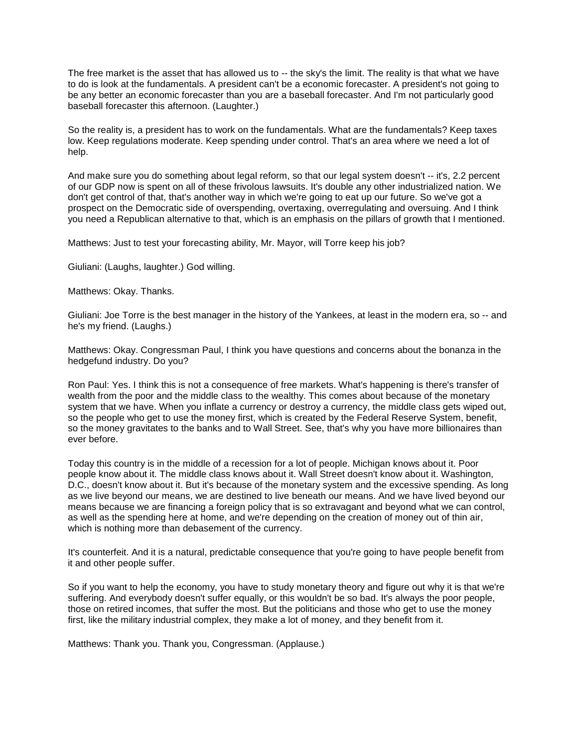The free market is the asset that has allowed us to -- the sky's the limit. The reality is that what we have to do is look at the fundamentals. A president can't be a economic forecaster. A president's not going to be any better an economic forecaster than you are a baseball forecaster. And I'm not particularly good baseball forecaster this afternoon. (Laughter.)

So the reality is, a president has to work on the fundamentals. What are the fundamentals? Keep taxes low. Keep regulations moderate. Keep spending under control. That's an area where we need a lot of help.

And make sure you do something about legal reform, so that our legal system doesn't -- it's, 2.2 percent of our GDP now is spent on all of these frivolous lawsuits. It's double any other industrialized nation. We don't get control of that, that's another way in which we're going to eat up our future. So we've got a prospect on the Democratic side of overspending, overtaxing, overregulating and oversuing. And I think you need a Republican alternative to that, which is an emphasis on the pillars of growth that I mentioned.

Matthews: Just to test your forecasting ability, Mr. Mayor, will Torre keep his job?

Giuliani: (Laughs, laughter.) God willing.

Matthews: Okay. Thanks.

Giuliani: Joe Torre is the best manager in the history of the Yankees, at least in the modern era, so -- and he's my friend. (Laughs.)

Matthews: Okay. Congressman Paul, I think you have questions and concerns about the bonanza in the hedgefund industry. Do you?

Ron Paul: Yes. I think this is not a consequence of free markets. What's happening is there's transfer of wealth from the poor and the middle class to the wealthy. This comes about because of the monetary system that we have. When you inflate a currency or destroy a currency, the middle class gets wiped out, so the people who get to use the money first, which is created by the Federal Reserve System, benefit, so the money gravitates to the banks and to Wall Street. See, that's why you have more billionaires than ever before.

Today this country is in the middle of a recession for a lot of people. Michigan knows about it. Poor people know about it. The middle class knows about it. Wall Street doesn't know about it. Washington, D.C., doesn't know about it. But it's because of the monetary system and the excessive spending. As long as we live beyond our means, we are destined to live beneath our means. And we have lived beyond our means because we are financing a foreign policy that is so extravagant and beyond what we can control, as well as the spending here at home, and we're depending on the creation of money out of thin air, which is nothing more than debasement of the currency.

It's counterfeit. And it is a natural, predictable consequence that you're going to have people benefit from it and other people suffer.

So if you want to help the economy, you have to study monetary theory and figure out why it is that we're suffering. And everybody doesn't suffer equally, or this wouldn't be so bad. It's always the poor people, those on retired incomes, that suffer the most. But the politicians and those who get to use the money first, like the military industrial complex, they make a lot of money, and they benefit from it.

Matthews: Thank you. Thank you, Congressman. (Applause.)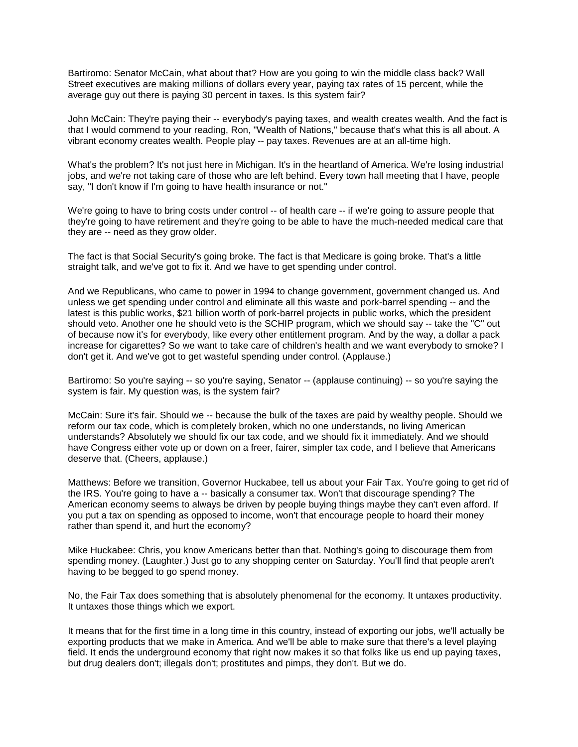Bartiromo: Senator McCain, what about that? How are you going to win the middle class back? Wall Street executives are making millions of dollars every year, paying tax rates of 15 percent, while the average guy out there is paying 30 percent in taxes. Is this system fair?

John McCain: They're paying their -- everybody's paying taxes, and wealth creates wealth. And the fact is that I would commend to your reading, Ron, "Wealth of Nations," because that's what this is all about. A vibrant economy creates wealth. People play -- pay taxes. Revenues are at an all-time high.

What's the problem? It's not just here in Michigan. It's in the heartland of America. We're losing industrial jobs, and we're not taking care of those who are left behind. Every town hall meeting that I have, people say, "I don't know if I'm going to have health insurance or not."

We're going to have to bring costs under control -- of health care -- if we're going to assure people that they're going to have retirement and they're going to be able to have the much-needed medical care that they are -- need as they grow older.

The fact is that Social Security's going broke. The fact is that Medicare is going broke. That's a little straight talk, and we've got to fix it. And we have to get spending under control.

And we Republicans, who came to power in 1994 to change government, government changed us. And unless we get spending under control and eliminate all this waste and pork-barrel spending -- and the latest is this public works, \$21 billion worth of pork-barrel projects in public works, which the president should veto. Another one he should veto is the SCHIP program, which we should say -- take the "C" out of because now it's for everybody, like every other entitlement program. And by the way, a dollar a pack increase for cigarettes? So we want to take care of children's health and we want everybody to smoke? I don't get it. And we've got to get wasteful spending under control. (Applause.)

Bartiromo: So you're saying -- so you're saying, Senator -- (applause continuing) -- so you're saying the system is fair. My question was, is the system fair?

McCain: Sure it's fair. Should we -- because the bulk of the taxes are paid by wealthy people. Should we reform our tax code, which is completely broken, which no one understands, no living American understands? Absolutely we should fix our tax code, and we should fix it immediately. And we should have Congress either vote up or down on a freer, fairer, simpler tax code, and I believe that Americans deserve that. (Cheers, applause.)

Matthews: Before we transition, Governor Huckabee, tell us about your Fair Tax. You're going to get rid of the IRS. You're going to have a -- basically a consumer tax. Won't that discourage spending? The American economy seems to always be driven by people buying things maybe they can't even afford. If you put a tax on spending as opposed to income, won't that encourage people to hoard their money rather than spend it, and hurt the economy?

Mike Huckabee: Chris, you know Americans better than that. Nothing's going to discourage them from spending money. (Laughter.) Just go to any shopping center on Saturday. You'll find that people aren't having to be begged to go spend money.

No, the Fair Tax does something that is absolutely phenomenal for the economy. It untaxes productivity. It untaxes those things which we export.

It means that for the first time in a long time in this country, instead of exporting our jobs, we'll actually be exporting products that we make in America. And we'll be able to make sure that there's a level playing field. It ends the underground economy that right now makes it so that folks like us end up paying taxes, but drug dealers don't; illegals don't; prostitutes and pimps, they don't. But we do.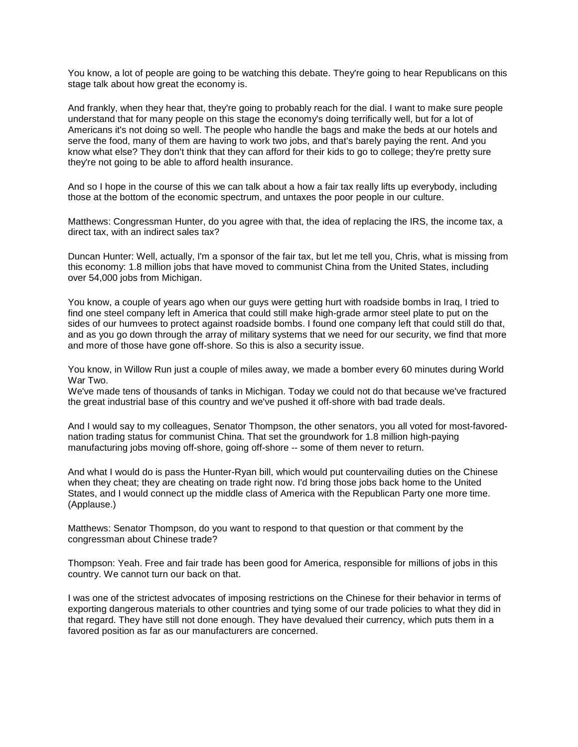You know, a lot of people are going to be watching this debate. They're going to hear Republicans on this stage talk about how great the economy is.

And frankly, when they hear that, they're going to probably reach for the dial. I want to make sure people understand that for many people on this stage the economy's doing terrifically well, but for a lot of Americans it's not doing so well. The people who handle the bags and make the beds at our hotels and serve the food, many of them are having to work two jobs, and that's barely paying the rent. And you know what else? They don't think that they can afford for their kids to go to college; they're pretty sure they're not going to be able to afford health insurance.

And so I hope in the course of this we can talk about a how a fair tax really lifts up everybody, including those at the bottom of the economic spectrum, and untaxes the poor people in our culture.

Matthews: Congressman Hunter, do you agree with that, the idea of replacing the IRS, the income tax, a direct tax, with an indirect sales tax?

Duncan Hunter: Well, actually, I'm a sponsor of the fair tax, but let me tell you, Chris, what is missing from this economy: 1.8 million jobs that have moved to communist China from the United States, including over 54,000 jobs from Michigan.

You know, a couple of years ago when our guys were getting hurt with roadside bombs in Iraq, I tried to find one steel company left in America that could still make high-grade armor steel plate to put on the sides of our humvees to protect against roadside bombs. I found one company left that could still do that, and as you go down through the array of military systems that we need for our security, we find that more and more of those have gone off-shore. So this is also a security issue.

You know, in Willow Run just a couple of miles away, we made a bomber every 60 minutes during World War Two.

We've made tens of thousands of tanks in Michigan. Today we could not do that because we've fractured the great industrial base of this country and we've pushed it off-shore with bad trade deals.

And I would say to my colleagues, Senator Thompson, the other senators, you all voted for most-favorednation trading status for communist China. That set the groundwork for 1.8 million high-paying manufacturing jobs moving off-shore, going off-shore -- some of them never to return.

And what I would do is pass the Hunter-Ryan bill, which would put countervailing duties on the Chinese when they cheat; they are cheating on trade right now. I'd bring those jobs back home to the United States, and I would connect up the middle class of America with the Republican Party one more time. (Applause.)

Matthews: Senator Thompson, do you want to respond to that question or that comment by the congressman about Chinese trade?

Thompson: Yeah. Free and fair trade has been good for America, responsible for millions of jobs in this country. We cannot turn our back on that.

I was one of the strictest advocates of imposing restrictions on the Chinese for their behavior in terms of exporting dangerous materials to other countries and tying some of our trade policies to what they did in that regard. They have still not done enough. They have devalued their currency, which puts them in a favored position as far as our manufacturers are concerned.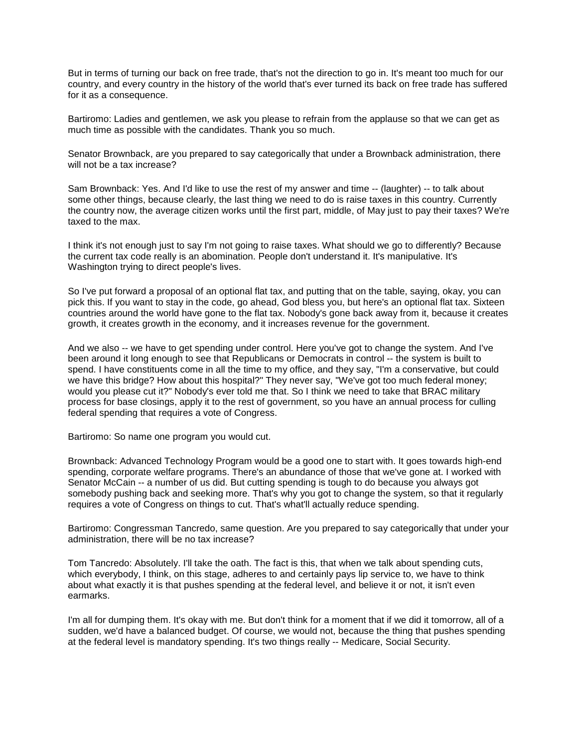But in terms of turning our back on free trade, that's not the direction to go in. It's meant too much for our country, and every country in the history of the world that's ever turned its back on free trade has suffered for it as a consequence.

Bartiromo: Ladies and gentlemen, we ask you please to refrain from the applause so that we can get as much time as possible with the candidates. Thank you so much.

Senator Brownback, are you prepared to say categorically that under a Brownback administration, there will not be a tax increase?

Sam Brownback: Yes. And I'd like to use the rest of my answer and time -- (laughter) -- to talk about some other things, because clearly, the last thing we need to do is raise taxes in this country. Currently the country now, the average citizen works until the first part, middle, of May just to pay their taxes? We're taxed to the max.

I think it's not enough just to say I'm not going to raise taxes. What should we go to differently? Because the current tax code really is an abomination. People don't understand it. It's manipulative. It's Washington trying to direct people's lives.

So I've put forward a proposal of an optional flat tax, and putting that on the table, saying, okay, you can pick this. If you want to stay in the code, go ahead, God bless you, but here's an optional flat tax. Sixteen countries around the world have gone to the flat tax. Nobody's gone back away from it, because it creates growth, it creates growth in the economy, and it increases revenue for the government.

And we also -- we have to get spending under control. Here you've got to change the system. And I've been around it long enough to see that Republicans or Democrats in control -- the system is built to spend. I have constituents come in all the time to my office, and they say, "I'm a conservative, but could we have this bridge? How about this hospital?" They never say, "We've got too much federal money; would you please cut it?" Nobody's ever told me that. So I think we need to take that BRAC military process for base closings, apply it to the rest of government, so you have an annual process for culling federal spending that requires a vote of Congress.

Bartiromo: So name one program you would cut.

Brownback: Advanced Technology Program would be a good one to start with. It goes towards high-end spending, corporate welfare programs. There's an abundance of those that we've gone at. I worked with Senator McCain -- a number of us did. But cutting spending is tough to do because you always got somebody pushing back and seeking more. That's why you got to change the system, so that it regularly requires a vote of Congress on things to cut. That's what'll actually reduce spending.

Bartiromo: Congressman Tancredo, same question. Are you prepared to say categorically that under your administration, there will be no tax increase?

Tom Tancredo: Absolutely. I'll take the oath. The fact is this, that when we talk about spending cuts, which everybody, I think, on this stage, adheres to and certainly pays lip service to, we have to think about what exactly it is that pushes spending at the federal level, and believe it or not, it isn't even earmarks.

I'm all for dumping them. It's okay with me. But don't think for a moment that if we did it tomorrow, all of a sudden, we'd have a balanced budget. Of course, we would not, because the thing that pushes spending at the federal level is mandatory spending. It's two things really -- Medicare, Social Security.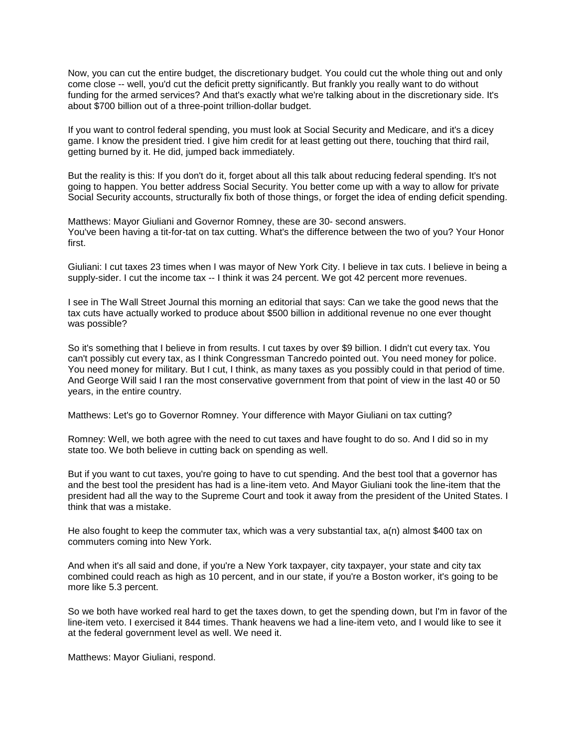Now, you can cut the entire budget, the discretionary budget. You could cut the whole thing out and only come close -- well, you'd cut the deficit pretty significantly. But frankly you really want to do without funding for the armed services? And that's exactly what we're talking about in the discretionary side. It's about \$700 billion out of a three-point trillion-dollar budget.

If you want to control federal spending, you must look at Social Security and Medicare, and it's a dicey game. I know the president tried. I give him credit for at least getting out there, touching that third rail, getting burned by it. He did, jumped back immediately.

But the reality is this: If you don't do it, forget about all this talk about reducing federal spending. It's not going to happen. You better address Social Security. You better come up with a way to allow for private Social Security accounts, structurally fix both of those things, or forget the idea of ending deficit spending.

Matthews: Mayor Giuliani and Governor Romney, these are 30- second answers. You've been having a tit-for-tat on tax cutting. What's the difference between the two of you? Your Honor first.

Giuliani: I cut taxes 23 times when I was mayor of New York City. I believe in tax cuts. I believe in being a supply-sider. I cut the income tax -- I think it was 24 percent. We got 42 percent more revenues.

I see in The Wall Street Journal this morning an editorial that says: Can we take the good news that the tax cuts have actually worked to produce about \$500 billion in additional revenue no one ever thought was possible?

So it's something that I believe in from results. I cut taxes by over \$9 billion. I didn't cut every tax. You can't possibly cut every tax, as I think Congressman Tancredo pointed out. You need money for police. You need money for military. But I cut, I think, as many taxes as you possibly could in that period of time. And George Will said I ran the most conservative government from that point of view in the last 40 or 50 years, in the entire country.

Matthews: Let's go to Governor Romney. Your difference with Mayor Giuliani on tax cutting?

Romney: Well, we both agree with the need to cut taxes and have fought to do so. And I did so in my state too. We both believe in cutting back on spending as well.

But if you want to cut taxes, you're going to have to cut spending. And the best tool that a governor has and the best tool the president has had is a line-item veto. And Mayor Giuliani took the line-item that the president had all the way to the Supreme Court and took it away from the president of the United States. I think that was a mistake.

He also fought to keep the commuter tax, which was a very substantial tax,  $a(n)$  almost \$400 tax on commuters coming into New York.

And when it's all said and done, if you're a New York taxpayer, city taxpayer, your state and city tax combined could reach as high as 10 percent, and in our state, if you're a Boston worker, it's going to be more like 5.3 percent.

So we both have worked real hard to get the taxes down, to get the spending down, but I'm in favor of the line-item veto. I exercised it 844 times. Thank heavens we had a line-item veto, and I would like to see it at the federal government level as well. We need it.

Matthews: Mayor Giuliani, respond.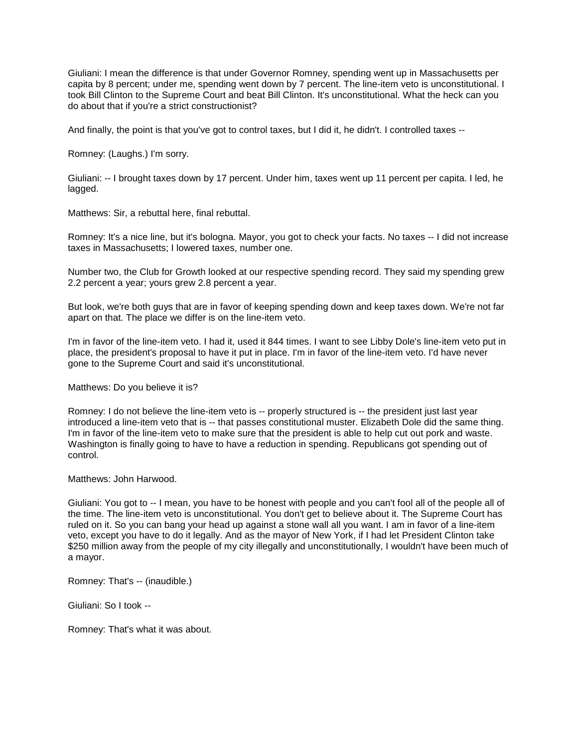Giuliani: I mean the difference is that under Governor Romney, spending went up in Massachusetts per capita by 8 percent; under me, spending went down by 7 percent. The line-item veto is unconstitutional. I took Bill Clinton to the Supreme Court and beat Bill Clinton. It's unconstitutional. What the heck can you do about that if you're a strict constructionist?

And finally, the point is that you've got to control taxes, but I did it, he didn't. I controlled taxes --

Romney: (Laughs.) I'm sorry.

Giuliani: -- I brought taxes down by 17 percent. Under him, taxes went up 11 percent per capita. I led, he lagged.

Matthews: Sir, a rebuttal here, final rebuttal.

Romney: It's a nice line, but it's bologna. Mayor, you got to check your facts. No taxes -- I did not increase taxes in Massachusetts; I lowered taxes, number one.

Number two, the Club for Growth looked at our respective spending record. They said my spending grew 2.2 percent a year; yours grew 2.8 percent a year.

But look, we're both guys that are in favor of keeping spending down and keep taxes down. We're not far apart on that. The place we differ is on the line-item veto.

I'm in favor of the line-item veto. I had it, used it 844 times. I want to see Libby Dole's line-item veto put in place, the president's proposal to have it put in place. I'm in favor of the line-item veto. I'd have never gone to the Supreme Court and said it's unconstitutional.

Matthews: Do you believe it is?

Romney: I do not believe the line-item veto is -- properly structured is -- the president just last year introduced a line-item veto that is -- that passes constitutional muster. Elizabeth Dole did the same thing. I'm in favor of the line-item veto to make sure that the president is able to help cut out pork and waste. Washington is finally going to have to have a reduction in spending. Republicans got spending out of control.

Matthews: John Harwood.

Giuliani: You got to -- I mean, you have to be honest with people and you can't fool all of the people all of the time. The line-item veto is unconstitutional. You don't get to believe about it. The Supreme Court has ruled on it. So you can bang your head up against a stone wall all you want. I am in favor of a line-item veto, except you have to do it legally. And as the mayor of New York, if I had let President Clinton take \$250 million away from the people of my city illegally and unconstitutionally, I wouldn't have been much of a mayor.

Romney: That's -- (inaudible.)

Giuliani: So I took --

Romney: That's what it was about.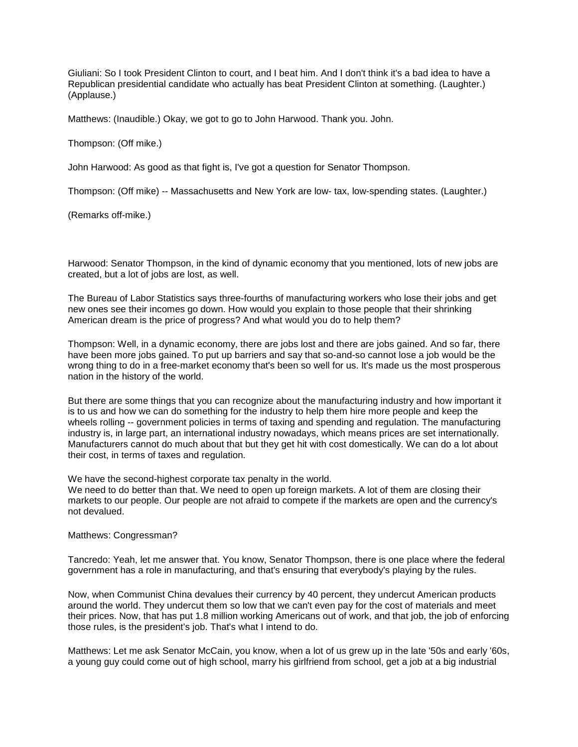Giuliani: So I took President Clinton to court, and I beat him. And I don't think it's a bad idea to have a Republican presidential candidate who actually has beat President Clinton at something. (Laughter.) (Applause.)

Matthews: (Inaudible.) Okay, we got to go to John Harwood. Thank you. John.

Thompson: (Off mike.)

John Harwood: As good as that fight is, I've got a question for Senator Thompson.

Thompson: (Off mike) -- Massachusetts and New York are low- tax, low-spending states. (Laughter.)

(Remarks off-mike.)

Harwood: Senator Thompson, in the kind of dynamic economy that you mentioned, lots of new jobs are created, but a lot of jobs are lost, as well.

The Bureau of Labor Statistics says three-fourths of manufacturing workers who lose their jobs and get new ones see their incomes go down. How would you explain to those people that their shrinking American dream is the price of progress? And what would you do to help them?

Thompson: Well, in a dynamic economy, there are jobs lost and there are jobs gained. And so far, there have been more jobs gained. To put up barriers and say that so-and-so cannot lose a job would be the wrong thing to do in a free-market economy that's been so well for us. It's made us the most prosperous nation in the history of the world.

But there are some things that you can recognize about the manufacturing industry and how important it is to us and how we can do something for the industry to help them hire more people and keep the wheels rolling -- government policies in terms of taxing and spending and regulation. The manufacturing industry is, in large part, an international industry nowadays, which means prices are set internationally. Manufacturers cannot do much about that but they get hit with cost domestically. We can do a lot about their cost, in terms of taxes and regulation.

We have the second-highest corporate tax penalty in the world.

We need to do better than that. We need to open up foreign markets. A lot of them are closing their markets to our people. Our people are not afraid to compete if the markets are open and the currency's not devalued.

#### Matthews: Congressman?

Tancredo: Yeah, let me answer that. You know, Senator Thompson, there is one place where the federal government has a role in manufacturing, and that's ensuring that everybody's playing by the rules.

Now, when Communist China devalues their currency by 40 percent, they undercut American products around the world. They undercut them so low that we can't even pay for the cost of materials and meet their prices. Now, that has put 1.8 million working Americans out of work, and that job, the job of enforcing those rules, is the president's job. That's what I intend to do.

Matthews: Let me ask Senator McCain, you know, when a lot of us grew up in the late '50s and early '60s, a young guy could come out of high school, marry his girlfriend from school, get a job at a big industrial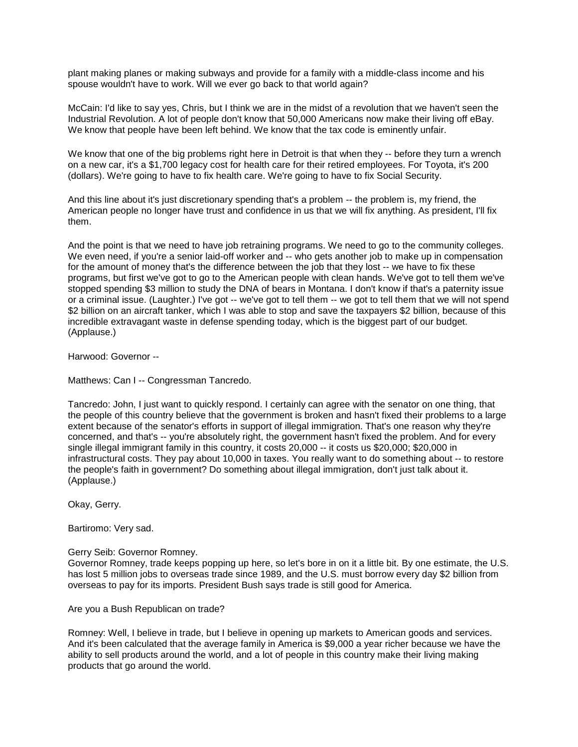plant making planes or making subways and provide for a family with a middle-class income and his spouse wouldn't have to work. Will we ever go back to that world again?

McCain: I'd like to say yes, Chris, but I think we are in the midst of a revolution that we haven't seen the Industrial Revolution. A lot of people don't know that 50,000 Americans now make their living off eBay. We know that people have been left behind. We know that the tax code is eminently unfair.

We know that one of the big problems right here in Detroit is that when they -- before they turn a wrench on a new car, it's a \$1,700 legacy cost for health care for their retired employees. For Toyota, it's 200 (dollars). We're going to have to fix health care. We're going to have to fix Social Security.

And this line about it's just discretionary spending that's a problem -- the problem is, my friend, the American people no longer have trust and confidence in us that we will fix anything. As president, I'll fix them.

And the point is that we need to have job retraining programs. We need to go to the community colleges. We even need, if you're a senior laid-off worker and -- who gets another job to make up in compensation for the amount of money that's the difference between the job that they lost -- we have to fix these programs, but first we've got to go to the American people with clean hands. We've got to tell them we've stopped spending \$3 million to study the DNA of bears in Montana. I don't know if that's a paternity issue or a criminal issue. (Laughter.) I've got -- we've got to tell them -- we got to tell them that we will not spend \$2 billion on an aircraft tanker, which I was able to stop and save the taxpayers \$2 billion, because of this incredible extravagant waste in defense spending today, which is the biggest part of our budget. (Applause.)

Harwood: Governor --

Matthews: Can I -- Congressman Tancredo.

Tancredo: John, I just want to quickly respond. I certainly can agree with the senator on one thing, that the people of this country believe that the government is broken and hasn't fixed their problems to a large extent because of the senator's efforts in support of illegal immigration. That's one reason why they're concerned, and that's -- you're absolutely right, the government hasn't fixed the problem. And for every single illegal immigrant family in this country, it costs 20,000 -- it costs us \$20,000; \$20,000 in infrastructural costs. They pay about 10,000 in taxes. You really want to do something about -- to restore the people's faith in government? Do something about illegal immigration, don't just talk about it. (Applause.)

Okay, Gerry.

Bartiromo: Very sad.

#### Gerry Seib: Governor Romney.

Governor Romney, trade keeps popping up here, so let's bore in on it a little bit. By one estimate, the U.S. has lost 5 million jobs to overseas trade since 1989, and the U.S. must borrow every day \$2 billion from overseas to pay for its imports. President Bush says trade is still good for America.

Are you a Bush Republican on trade?

Romney: Well, I believe in trade, but I believe in opening up markets to American goods and services. And it's been calculated that the average family in America is \$9,000 a year richer because we have the ability to sell products around the world, and a lot of people in this country make their living making products that go around the world.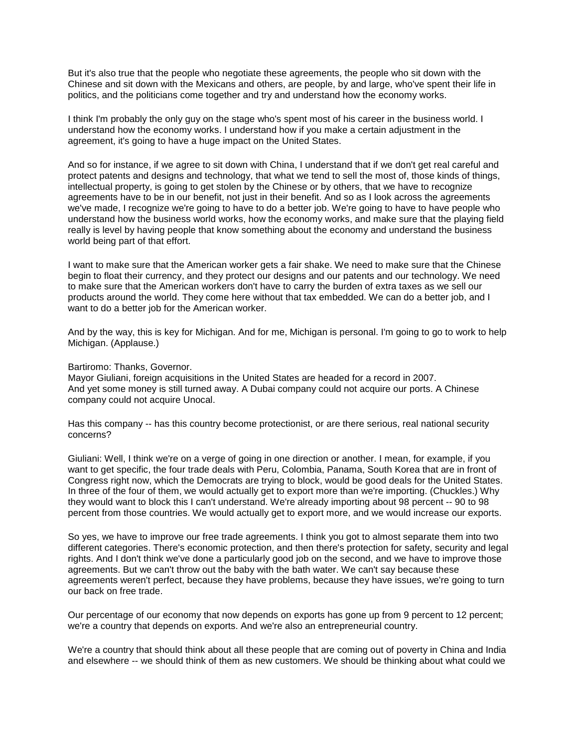But it's also true that the people who negotiate these agreements, the people who sit down with the Chinese and sit down with the Mexicans and others, are people, by and large, who've spent their life in politics, and the politicians come together and try and understand how the economy works.

I think I'm probably the only guy on the stage who's spent most of his career in the business world. I understand how the economy works. I understand how if you make a certain adjustment in the agreement, it's going to have a huge impact on the United States.

And so for instance, if we agree to sit down with China, I understand that if we don't get real careful and protect patents and designs and technology, that what we tend to sell the most of, those kinds of things, intellectual property, is going to get stolen by the Chinese or by others, that we have to recognize agreements have to be in our benefit, not just in their benefit. And so as I look across the agreements we've made, I recognize we're going to have to do a better job. We're going to have to have people who understand how the business world works, how the economy works, and make sure that the playing field really is level by having people that know something about the economy and understand the business world being part of that effort.

I want to make sure that the American worker gets a fair shake. We need to make sure that the Chinese begin to float their currency, and they protect our designs and our patents and our technology. We need to make sure that the American workers don't have to carry the burden of extra taxes as we sell our products around the world. They come here without that tax embedded. We can do a better job, and I want to do a better job for the American worker.

And by the way, this is key for Michigan. And for me, Michigan is personal. I'm going to go to work to help Michigan. (Applause.)

#### Bartiromo: Thanks, Governor.

Mayor Giuliani, foreign acquisitions in the United States are headed for a record in 2007. And yet some money is still turned away. A Dubai company could not acquire our ports. A Chinese company could not acquire Unocal.

Has this company -- has this country become protectionist, or are there serious, real national security concerns?

Giuliani: Well, I think we're on a verge of going in one direction or another. I mean, for example, if you want to get specific, the four trade deals with Peru, Colombia, Panama, South Korea that are in front of Congress right now, which the Democrats are trying to block, would be good deals for the United States. In three of the four of them, we would actually get to export more than we're importing. (Chuckles.) Why they would want to block this I can't understand. We're already importing about 98 percent -- 90 to 98 percent from those countries. We would actually get to export more, and we would increase our exports.

So yes, we have to improve our free trade agreements. I think you got to almost separate them into two different categories. There's economic protection, and then there's protection for safety, security and legal rights. And I don't think we've done a particularly good job on the second, and we have to improve those agreements. But we can't throw out the baby with the bath water. We can't say because these agreements weren't perfect, because they have problems, because they have issues, we're going to turn our back on free trade.

Our percentage of our economy that now depends on exports has gone up from 9 percent to 12 percent; we're a country that depends on exports. And we're also an entrepreneurial country.

We're a country that should think about all these people that are coming out of poverty in China and India and elsewhere -- we should think of them as new customers. We should be thinking about what could we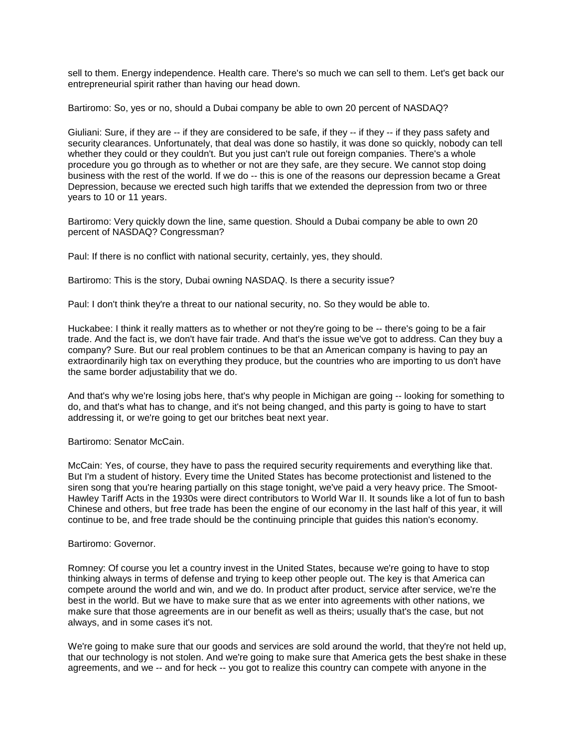sell to them. Energy independence. Health care. There's so much we can sell to them. Let's get back our entrepreneurial spirit rather than having our head down.

Bartiromo: So, yes or no, should a Dubai company be able to own 20 percent of NASDAQ?

Giuliani: Sure, if they are -- if they are considered to be safe, if they -- if they -- if they pass safety and security clearances. Unfortunately, that deal was done so hastily, it was done so quickly, nobody can tell whether they could or they couldn't. But you just can't rule out foreign companies. There's a whole procedure you go through as to whether or not are they safe, are they secure. We cannot stop doing business with the rest of the world. If we do -- this is one of the reasons our depression became a Great Depression, because we erected such high tariffs that we extended the depression from two or three years to 10 or 11 years.

Bartiromo: Very quickly down the line, same question. Should a Dubai company be able to own 20 percent of NASDAQ? Congressman?

Paul: If there is no conflict with national security, certainly, yes, they should.

Bartiromo: This is the story, Dubai owning NASDAQ. Is there a security issue?

Paul: I don't think they're a threat to our national security, no. So they would be able to.

Huckabee: I think it really matters as to whether or not they're going to be -- there's going to be a fair trade. And the fact is, we don't have fair trade. And that's the issue we've got to address. Can they buy a company? Sure. But our real problem continues to be that an American company is having to pay an extraordinarily high tax on everything they produce, but the countries who are importing to us don't have the same border adjustability that we do.

And that's why we're losing jobs here, that's why people in Michigan are going -- looking for something to do, and that's what has to change, and it's not being changed, and this party is going to have to start addressing it, or we're going to get our britches beat next year.

## Bartiromo: Senator McCain.

McCain: Yes, of course, they have to pass the required security requirements and everything like that. But I'm a student of history. Every time the United States has become protectionist and listened to the siren song that you're hearing partially on this stage tonight, we've paid a very heavy price. The Smoot-Hawley Tariff Acts in the 1930s were direct contributors to World War II. It sounds like a lot of fun to bash Chinese and others, but free trade has been the engine of our economy in the last half of this year, it will continue to be, and free trade should be the continuing principle that guides this nation's economy.

### Bartiromo: Governor.

Romney: Of course you let a country invest in the United States, because we're going to have to stop thinking always in terms of defense and trying to keep other people out. The key is that America can compete around the world and win, and we do. In product after product, service after service, we're the best in the world. But we have to make sure that as we enter into agreements with other nations, we make sure that those agreements are in our benefit as well as theirs; usually that's the case, but not always, and in some cases it's not.

We're going to make sure that our goods and services are sold around the world, that they're not held up, that our technology is not stolen. And we're going to make sure that America gets the best shake in these agreements, and we -- and for heck -- you got to realize this country can compete with anyone in the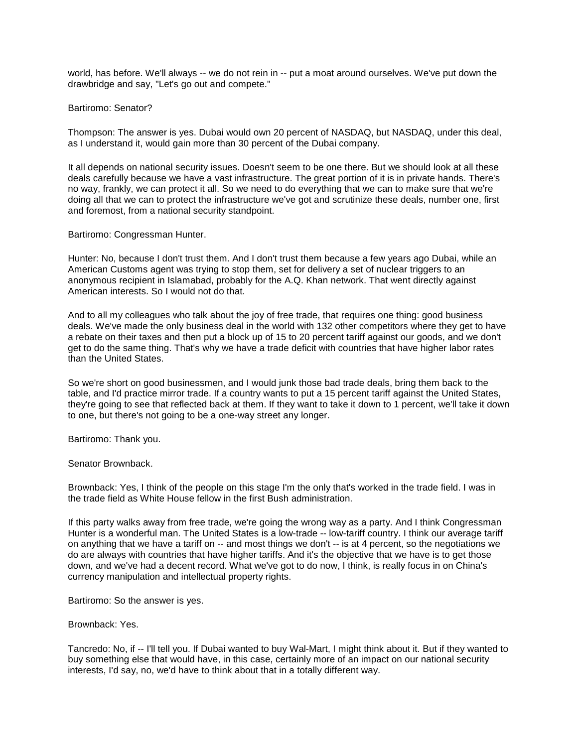world, has before. We'll always -- we do not rein in -- put a moat around ourselves. We've put down the drawbridge and say, "Let's go out and compete."

## Bartiromo: Senator?

Thompson: The answer is yes. Dubai would own 20 percent of NASDAQ, but NASDAQ, under this deal, as I understand it, would gain more than 30 percent of the Dubai company.

It all depends on national security issues. Doesn't seem to be one there. But we should look at all these deals carefully because we have a vast infrastructure. The great portion of it is in private hands. There's no way, frankly, we can protect it all. So we need to do everything that we can to make sure that we're doing all that we can to protect the infrastructure we've got and scrutinize these deals, number one, first and foremost, from a national security standpoint.

Bartiromo: Congressman Hunter.

Hunter: No, because I don't trust them. And I don't trust them because a few years ago Dubai, while an American Customs agent was trying to stop them, set for delivery a set of nuclear triggers to an anonymous recipient in Islamabad, probably for the A.Q. Khan network. That went directly against American interests. So I would not do that.

And to all my colleagues who talk about the joy of free trade, that requires one thing: good business deals. We've made the only business deal in the world with 132 other competitors where they get to have a rebate on their taxes and then put a block up of 15 to 20 percent tariff against our goods, and we don't get to do the same thing. That's why we have a trade deficit with countries that have higher labor rates than the United States.

So we're short on good businessmen, and I would junk those bad trade deals, bring them back to the table, and I'd practice mirror trade. If a country wants to put a 15 percent tariff against the United States, they're going to see that reflected back at them. If they want to take it down to 1 percent, we'll take it down to one, but there's not going to be a one-way street any longer.

Bartiromo: Thank you.

Senator Brownback.

Brownback: Yes, I think of the people on this stage I'm the only that's worked in the trade field. I was in the trade field as White House fellow in the first Bush administration.

If this party walks away from free trade, we're going the wrong way as a party. And I think Congressman Hunter is a wonderful man. The United States is a low-trade -- low-tariff country. I think our average tariff on anything that we have a tariff on -- and most things we don't -- is at 4 percent, so the negotiations we do are always with countries that have higher tariffs. And it's the objective that we have is to get those down, and we've had a decent record. What we've got to do now, I think, is really focus in on China's currency manipulation and intellectual property rights.

Bartiromo: So the answer is yes.

Brownback: Yes.

Tancredo: No, if -- I'll tell you. If Dubai wanted to buy Wal-Mart, I might think about it. But if they wanted to buy something else that would have, in this case, certainly more of an impact on our national security interests, I'd say, no, we'd have to think about that in a totally different way.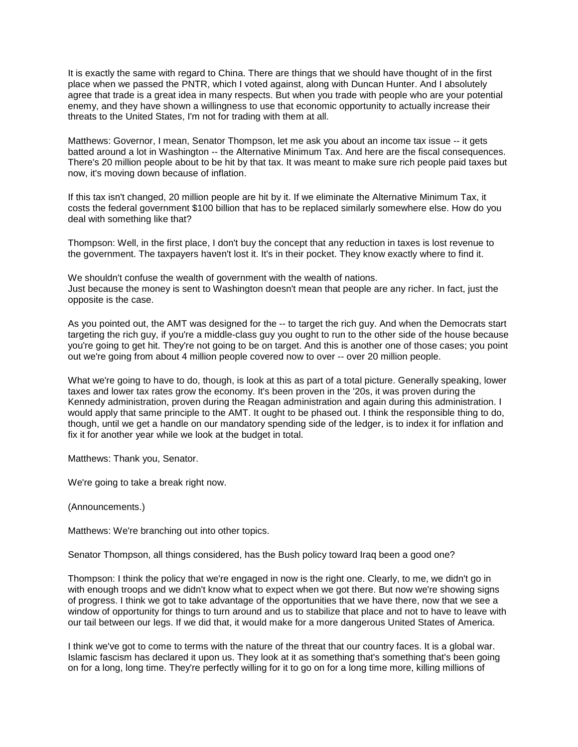It is exactly the same with regard to China. There are things that we should have thought of in the first place when we passed the PNTR, which I voted against, along with Duncan Hunter. And I absolutely agree that trade is a great idea in many respects. But when you trade with people who are your potential enemy, and they have shown a willingness to use that economic opportunity to actually increase their threats to the United States, I'm not for trading with them at all.

Matthews: Governor, I mean, Senator Thompson, let me ask you about an income tax issue -- it gets batted around a lot in Washington -- the Alternative Minimum Tax. And here are the fiscal consequences. There's 20 million people about to be hit by that tax. It was meant to make sure rich people paid taxes but now, it's moving down because of inflation.

If this tax isn't changed, 20 million people are hit by it. If we eliminate the Alternative Minimum Tax, it costs the federal government \$100 billion that has to be replaced similarly somewhere else. How do you deal with something like that?

Thompson: Well, in the first place, I don't buy the concept that any reduction in taxes is lost revenue to the government. The taxpayers haven't lost it. It's in their pocket. They know exactly where to find it.

We shouldn't confuse the wealth of government with the wealth of nations. Just because the money is sent to Washington doesn't mean that people are any richer. In fact, just the opposite is the case.

As you pointed out, the AMT was designed for the -- to target the rich guy. And when the Democrats start targeting the rich guy, if you're a middle-class guy you ought to run to the other side of the house because you're going to get hit. They're not going to be on target. And this is another one of those cases; you point out we're going from about 4 million people covered now to over -- over 20 million people.

What we're going to have to do, though, is look at this as part of a total picture. Generally speaking, lower taxes and lower tax rates grow the economy. It's been proven in the '20s, it was proven during the Kennedy administration, proven during the Reagan administration and again during this administration. I would apply that same principle to the AMT. It ought to be phased out. I think the responsible thing to do, though, until we get a handle on our mandatory spending side of the ledger, is to index it for inflation and fix it for another year while we look at the budget in total.

Matthews: Thank you, Senator.

We're going to take a break right now.

(Announcements.)

Matthews: We're branching out into other topics.

Senator Thompson, all things considered, has the Bush policy toward Iraq been a good one?

Thompson: I think the policy that we're engaged in now is the right one. Clearly, to me, we didn't go in with enough troops and we didn't know what to expect when we got there. But now we're showing signs of progress. I think we got to take advantage of the opportunities that we have there, now that we see a window of opportunity for things to turn around and us to stabilize that place and not to have to leave with our tail between our legs. If we did that, it would make for a more dangerous United States of America.

I think we've got to come to terms with the nature of the threat that our country faces. It is a global war. Islamic fascism has declared it upon us. They look at it as something that's something that's been going on for a long, long time. They're perfectly willing for it to go on for a long time more, killing millions of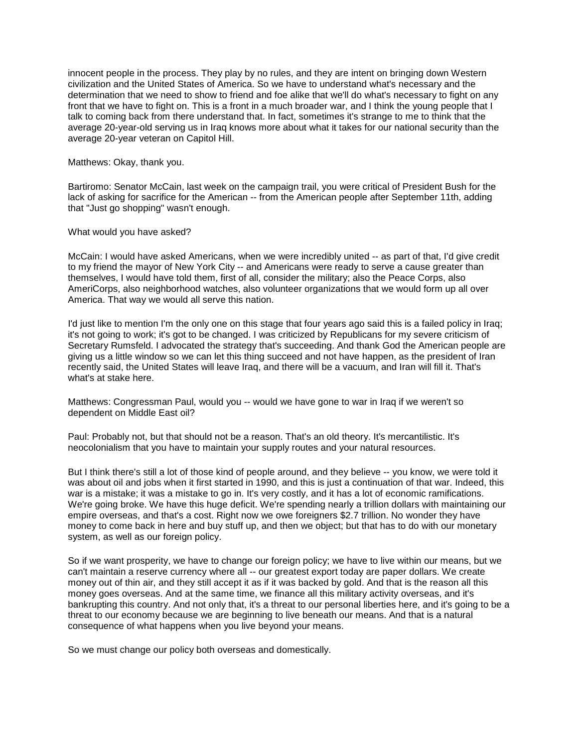innocent people in the process. They play by no rules, and they are intent on bringing down Western civilization and the United States of America. So we have to understand what's necessary and the determination that we need to show to friend and foe alike that we'll do what's necessary to fight on any front that we have to fight on. This is a front in a much broader war, and I think the young people that I talk to coming back from there understand that. In fact, sometimes it's strange to me to think that the average 20-year-old serving us in Iraq knows more about what it takes for our national security than the average 20-year veteran on Capitol Hill.

Matthews: Okay, thank you.

Bartiromo: Senator McCain, last week on the campaign trail, you were critical of President Bush for the lack of asking for sacrifice for the American -- from the American people after September 11th, adding that "Just go shopping" wasn't enough.

What would you have asked?

McCain: I would have asked Americans, when we were incredibly united -- as part of that, I'd give credit to my friend the mayor of New York City -- and Americans were ready to serve a cause greater than themselves, I would have told them, first of all, consider the military; also the Peace Corps, also AmeriCorps, also neighborhood watches, also volunteer organizations that we would form up all over America. That way we would all serve this nation.

I'd just like to mention I'm the only one on this stage that four years ago said this is a failed policy in Iraq; it's not going to work; it's got to be changed. I was criticized by Republicans for my severe criticism of Secretary Rumsfeld. I advocated the strategy that's succeeding. And thank God the American people are giving us a little window so we can let this thing succeed and not have happen, as the president of Iran recently said, the United States will leave Iraq, and there will be a vacuum, and Iran will fill it. That's what's at stake here.

Matthews: Congressman Paul, would you -- would we have gone to war in Iraq if we weren't so dependent on Middle East oil?

Paul: Probably not, but that should not be a reason. That's an old theory. It's mercantilistic. It's neocolonialism that you have to maintain your supply routes and your natural resources.

But I think there's still a lot of those kind of people around, and they believe -- you know, we were told it was about oil and jobs when it first started in 1990, and this is just a continuation of that war. Indeed, this war is a mistake; it was a mistake to go in. It's very costly, and it has a lot of economic ramifications. We're going broke. We have this huge deficit. We're spending nearly a trillion dollars with maintaining our empire overseas, and that's a cost. Right now we owe foreigners \$2.7 trillion. No wonder they have money to come back in here and buy stuff up, and then we object; but that has to do with our monetary system, as well as our foreign policy.

So if we want prosperity, we have to change our foreign policy; we have to live within our means, but we can't maintain a reserve currency where all -- our greatest export today are paper dollars. We create money out of thin air, and they still accept it as if it was backed by gold. And that is the reason all this money goes overseas. And at the same time, we finance all this military activity overseas, and it's bankrupting this country. And not only that, it's a threat to our personal liberties here, and it's going to be a threat to our economy because we are beginning to live beneath our means. And that is a natural consequence of what happens when you live beyond your means.

So we must change our policy both overseas and domestically.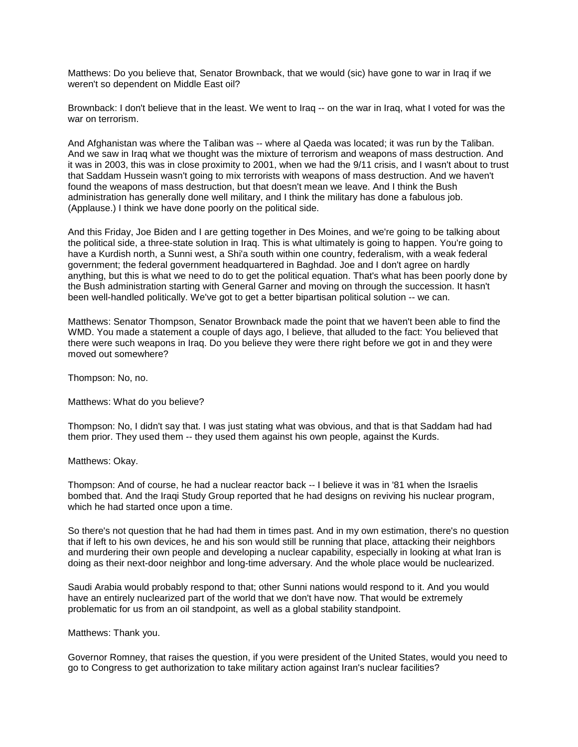Matthews: Do you believe that, Senator Brownback, that we would (sic) have gone to war in Iraq if we weren't so dependent on Middle East oil?

Brownback: I don't believe that in the least. We went to Iraq -- on the war in Iraq, what I voted for was the war on terrorism.

And Afghanistan was where the Taliban was -- where al Qaeda was located; it was run by the Taliban. And we saw in Iraq what we thought was the mixture of terrorism and weapons of mass destruction. And it was in 2003, this was in close proximity to 2001, when we had the 9/11 crisis, and I wasn't about to trust that Saddam Hussein wasn't going to mix terrorists with weapons of mass destruction. And we haven't found the weapons of mass destruction, but that doesn't mean we leave. And I think the Bush administration has generally done well military, and I think the military has done a fabulous job. (Applause.) I think we have done poorly on the political side.

And this Friday, Joe Biden and I are getting together in Des Moines, and we're going to be talking about the political side, a three-state solution in Iraq. This is what ultimately is going to happen. You're going to have a Kurdish north, a Sunni west, a Shi'a south within one country, federalism, with a weak federal government; the federal government headquartered in Baghdad. Joe and I don't agree on hardly anything, but this is what we need to do to get the political equation. That's what has been poorly done by the Bush administration starting with General Garner and moving on through the succession. It hasn't been well-handled politically. We've got to get a better bipartisan political solution -- we can.

Matthews: Senator Thompson, Senator Brownback made the point that we haven't been able to find the WMD. You made a statement a couple of days ago, I believe, that alluded to the fact: You believed that there were such weapons in Iraq. Do you believe they were there right before we got in and they were moved out somewhere?

Thompson: No, no.

Matthews: What do you believe?

Thompson: No, I didn't say that. I was just stating what was obvious, and that is that Saddam had had them prior. They used them -- they used them against his own people, against the Kurds.

Matthews: Okay.

Thompson: And of course, he had a nuclear reactor back -- I believe it was in '81 when the Israelis bombed that. And the Iraqi Study Group reported that he had designs on reviving his nuclear program, which he had started once upon a time.

So there's not question that he had had them in times past. And in my own estimation, there's no question that if left to his own devices, he and his son would still be running that place, attacking their neighbors and murdering their own people and developing a nuclear capability, especially in looking at what Iran is doing as their next-door neighbor and long-time adversary. And the whole place would be nuclearized.

Saudi Arabia would probably respond to that; other Sunni nations would respond to it. And you would have an entirely nuclearized part of the world that we don't have now. That would be extremely problematic for us from an oil standpoint, as well as a global stability standpoint.

Matthews: Thank you.

Governor Romney, that raises the question, if you were president of the United States, would you need to go to Congress to get authorization to take military action against Iran's nuclear facilities?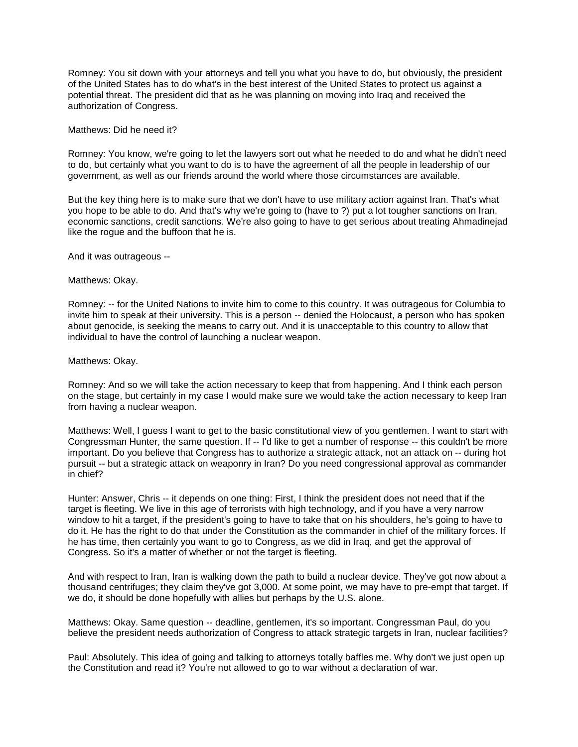Romney: You sit down with your attorneys and tell you what you have to do, but obviously, the president of the United States has to do what's in the best interest of the United States to protect us against a potential threat. The president did that as he was planning on moving into Iraq and received the authorization of Congress.

#### Matthews: Did he need it?

Romney: You know, we're going to let the lawyers sort out what he needed to do and what he didn't need to do, but certainly what you want to do is to have the agreement of all the people in leadership of our government, as well as our friends around the world where those circumstances are available.

But the key thing here is to make sure that we don't have to use military action against Iran. That's what you hope to be able to do. And that's why we're going to (have to ?) put a lot tougher sanctions on Iran, economic sanctions, credit sanctions. We're also going to have to get serious about treating Ahmadinejad like the rogue and the buffoon that he is.

And it was outrageous --

### Matthews: Okay.

Romney: -- for the United Nations to invite him to come to this country. It was outrageous for Columbia to invite him to speak at their university. This is a person -- denied the Holocaust, a person who has spoken about genocide, is seeking the means to carry out. And it is unacceptable to this country to allow that individual to have the control of launching a nuclear weapon.

Matthews: Okay.

Romney: And so we will take the action necessary to keep that from happening. And I think each person on the stage, but certainly in my case I would make sure we would take the action necessary to keep Iran from having a nuclear weapon.

Matthews: Well, I guess I want to get to the basic constitutional view of you gentlemen. I want to start with Congressman Hunter, the same question. If -- I'd like to get a number of response -- this couldn't be more important. Do you believe that Congress has to authorize a strategic attack, not an attack on -- during hot pursuit -- but a strategic attack on weaponry in Iran? Do you need congressional approval as commander in chief?

Hunter: Answer, Chris -- it depends on one thing: First, I think the president does not need that if the target is fleeting. We live in this age of terrorists with high technology, and if you have a very narrow window to hit a target, if the president's going to have to take that on his shoulders, he's going to have to do it. He has the right to do that under the Constitution as the commander in chief of the military forces. If he has time, then certainly you want to go to Congress, as we did in Iraq, and get the approval of Congress. So it's a matter of whether or not the target is fleeting.

And with respect to Iran, Iran is walking down the path to build a nuclear device. They've got now about a thousand centrifuges; they claim they've got 3,000. At some point, we may have to pre-empt that target. If we do, it should be done hopefully with allies but perhaps by the U.S. alone.

Matthews: Okay. Same question -- deadline, gentlemen, it's so important. Congressman Paul, do you believe the president needs authorization of Congress to attack strategic targets in Iran, nuclear facilities?

Paul: Absolutely. This idea of going and talking to attorneys totally baffles me. Why don't we just open up the Constitution and read it? You're not allowed to go to war without a declaration of war.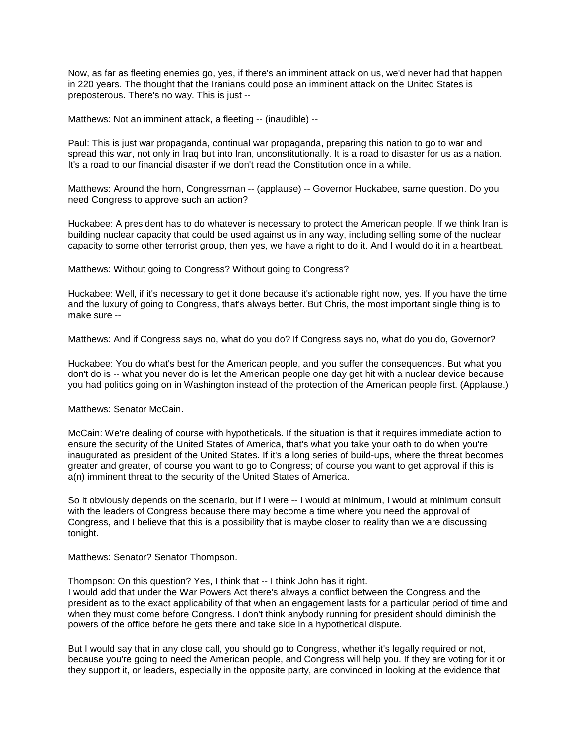Now, as far as fleeting enemies go, yes, if there's an imminent attack on us, we'd never had that happen in 220 years. The thought that the Iranians could pose an imminent attack on the United States is preposterous. There's no way. This is just --

Matthews: Not an imminent attack, a fleeting -- (inaudible) --

Paul: This is just war propaganda, continual war propaganda, preparing this nation to go to war and spread this war, not only in Iraq but into Iran, unconstitutionally. It is a road to disaster for us as a nation. It's a road to our financial disaster if we don't read the Constitution once in a while.

Matthews: Around the horn, Congressman -- (applause) -- Governor Huckabee, same question. Do you need Congress to approve such an action?

Huckabee: A president has to do whatever is necessary to protect the American people. If we think Iran is building nuclear capacity that could be used against us in any way, including selling some of the nuclear capacity to some other terrorist group, then yes, we have a right to do it. And I would do it in a heartbeat.

Matthews: Without going to Congress? Without going to Congress?

Huckabee: Well, if it's necessary to get it done because it's actionable right now, yes. If you have the time and the luxury of going to Congress, that's always better. But Chris, the most important single thing is to make sure --

Matthews: And if Congress says no, what do you do? If Congress says no, what do you do, Governor?

Huckabee: You do what's best for the American people, and you suffer the consequences. But what you don't do is -- what you never do is let the American people one day get hit with a nuclear device because you had politics going on in Washington instead of the protection of the American people first. (Applause.)

Matthews: Senator McCain.

McCain: We're dealing of course with hypotheticals. If the situation is that it requires immediate action to ensure the security of the United States of America, that's what you take your oath to do when you're inaugurated as president of the United States. If it's a long series of build-ups, where the threat becomes greater and greater, of course you want to go to Congress; of course you want to get approval if this is a(n) imminent threat to the security of the United States of America.

So it obviously depends on the scenario, but if I were -- I would at minimum, I would at minimum consult with the leaders of Congress because there may become a time where you need the approval of Congress, and I believe that this is a possibility that is maybe closer to reality than we are discussing tonight.

Matthews: Senator? Senator Thompson.

Thompson: On this question? Yes, I think that -- I think John has it right.

I would add that under the War Powers Act there's always a conflict between the Congress and the president as to the exact applicability of that when an engagement lasts for a particular period of time and when they must come before Congress. I don't think anybody running for president should diminish the powers of the office before he gets there and take side in a hypothetical dispute.

But I would say that in any close call, you should go to Congress, whether it's legally required or not, because you're going to need the American people, and Congress will help you. If they are voting for it or they support it, or leaders, especially in the opposite party, are convinced in looking at the evidence that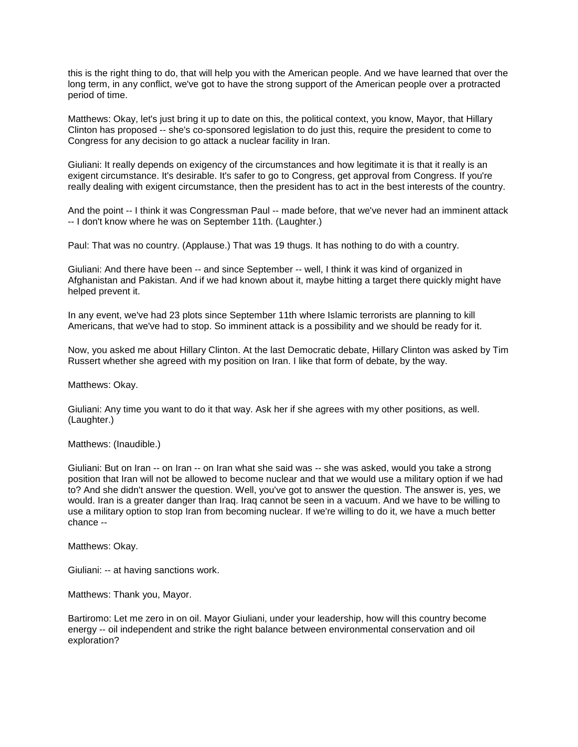this is the right thing to do, that will help you with the American people. And we have learned that over the long term, in any conflict, we've got to have the strong support of the American people over a protracted period of time.

Matthews: Okay, let's just bring it up to date on this, the political context, you know, Mayor, that Hillary Clinton has proposed -- she's co-sponsored legislation to do just this, require the president to come to Congress for any decision to go attack a nuclear facility in Iran.

Giuliani: It really depends on exigency of the circumstances and how legitimate it is that it really is an exigent circumstance. It's desirable. It's safer to go to Congress, get approval from Congress. If you're really dealing with exigent circumstance, then the president has to act in the best interests of the country.

And the point -- I think it was Congressman Paul -- made before, that we've never had an imminent attack -- I don't know where he was on September 11th. (Laughter.)

Paul: That was no country. (Applause.) That was 19 thugs. It has nothing to do with a country.

Giuliani: And there have been -- and since September -- well, I think it was kind of organized in Afghanistan and Pakistan. And if we had known about it, maybe hitting a target there quickly might have helped prevent it.

In any event, we've had 23 plots since September 11th where Islamic terrorists are planning to kill Americans, that we've had to stop. So imminent attack is a possibility and we should be ready for it.

Now, you asked me about Hillary Clinton. At the last Democratic debate, Hillary Clinton was asked by Tim Russert whether she agreed with my position on Iran. I like that form of debate, by the way.

Matthews: Okay.

Giuliani: Any time you want to do it that way. Ask her if she agrees with my other positions, as well. (Laughter.)

#### Matthews: (Inaudible.)

Giuliani: But on Iran -- on Iran -- on Iran what she said was -- she was asked, would you take a strong position that Iran will not be allowed to become nuclear and that we would use a military option if we had to? And she didn't answer the question. Well, you've got to answer the question. The answer is, yes, we would. Iran is a greater danger than Iraq. Iraq cannot be seen in a vacuum. And we have to be willing to use a military option to stop Iran from becoming nuclear. If we're willing to do it, we have a much better chance --

Matthews: Okay.

Giuliani: -- at having sanctions work.

Matthews: Thank you, Mayor.

Bartiromo: Let me zero in on oil. Mayor Giuliani, under your leadership, how will this country become energy -- oil independent and strike the right balance between environmental conservation and oil exploration?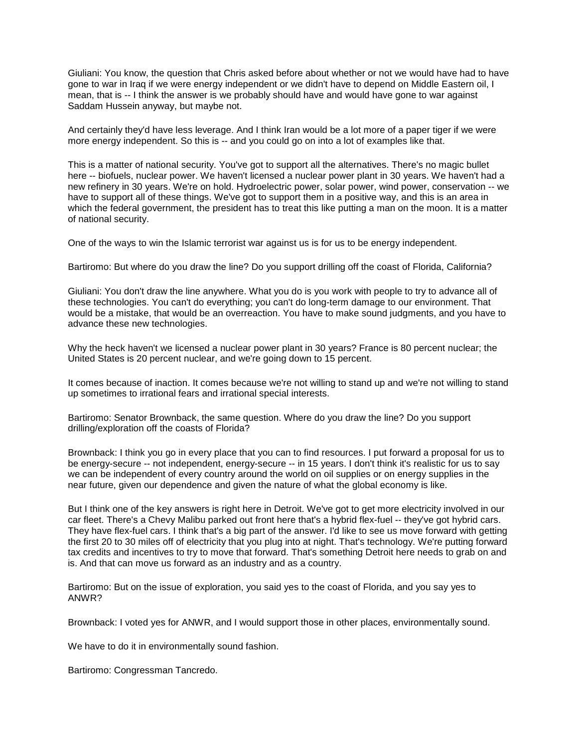Giuliani: You know, the question that Chris asked before about whether or not we would have had to have gone to war in Iraq if we were energy independent or we didn't have to depend on Middle Eastern oil, I mean, that is -- I think the answer is we probably should have and would have gone to war against Saddam Hussein anyway, but maybe not.

And certainly they'd have less leverage. And I think Iran would be a lot more of a paper tiger if we were more energy independent. So this is -- and you could go on into a lot of examples like that.

This is a matter of national security. You've got to support all the alternatives. There's no magic bullet here -- biofuels, nuclear power. We haven't licensed a nuclear power plant in 30 years. We haven't had a new refinery in 30 years. We're on hold. Hydroelectric power, solar power, wind power, conservation -- we have to support all of these things. We've got to support them in a positive way, and this is an area in which the federal government, the president has to treat this like putting a man on the moon. It is a matter of national security.

One of the ways to win the Islamic terrorist war against us is for us to be energy independent.

Bartiromo: But where do you draw the line? Do you support drilling off the coast of Florida, California?

Giuliani: You don't draw the line anywhere. What you do is you work with people to try to advance all of these technologies. You can't do everything; you can't do long-term damage to our environment. That would be a mistake, that would be an overreaction. You have to make sound judgments, and you have to advance these new technologies.

Why the heck haven't we licensed a nuclear power plant in 30 years? France is 80 percent nuclear; the United States is 20 percent nuclear, and we're going down to 15 percent.

It comes because of inaction. It comes because we're not willing to stand up and we're not willing to stand up sometimes to irrational fears and irrational special interests.

Bartiromo: Senator Brownback, the same question. Where do you draw the line? Do you support drilling/exploration off the coasts of Florida?

Brownback: I think you go in every place that you can to find resources. I put forward a proposal for us to be energy-secure -- not independent, energy-secure -- in 15 years. I don't think it's realistic for us to say we can be independent of every country around the world on oil supplies or on energy supplies in the near future, given our dependence and given the nature of what the global economy is like.

But I think one of the key answers is right here in Detroit. We've got to get more electricity involved in our car fleet. There's a Chevy Malibu parked out front here that's a hybrid flex-fuel -- they've got hybrid cars. They have flex-fuel cars. I think that's a big part of the answer. I'd like to see us move forward with getting the first 20 to 30 miles off of electricity that you plug into at night. That's technology. We're putting forward tax credits and incentives to try to move that forward. That's something Detroit here needs to grab on and is. And that can move us forward as an industry and as a country.

Bartiromo: But on the issue of exploration, you said yes to the coast of Florida, and you say yes to ANWR?

Brownback: I voted yes for ANWR, and I would support those in other places, environmentally sound.

We have to do it in environmentally sound fashion.

Bartiromo: Congressman Tancredo.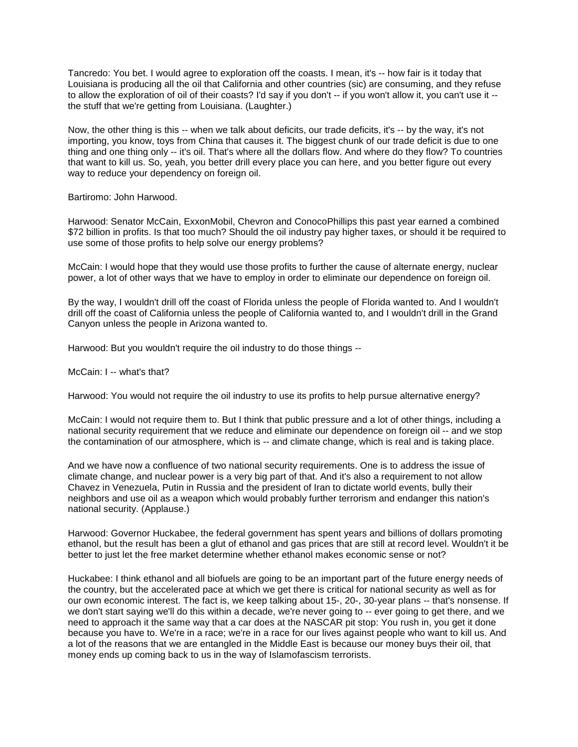Tancredo: You bet. I would agree to exploration off the coasts. I mean, it's -- how fair is it today that Louisiana is producing all the oil that California and other countries (sic) are consuming, and they refuse to allow the exploration of oil of their coasts? I'd say if you don't -- if you won't allow it, you can't use it - the stuff that we're getting from Louisiana. (Laughter.)

Now, the other thing is this -- when we talk about deficits, our trade deficits, it's -- by the way, it's not importing, you know, toys from China that causes it. The biggest chunk of our trade deficit is due to one thing and one thing only -- it's oil. That's where all the dollars flow. And where do they flow? To countries that want to kill us. So, yeah, you better drill every place you can here, and you better figure out every way to reduce your dependency on foreign oil.

Bartiromo: John Harwood.

Harwood: Senator McCain, ExxonMobil, Chevron and ConocoPhillips this past year earned a combined \$72 billion in profits. Is that too much? Should the oil industry pay higher taxes, or should it be required to use some of those profits to help solve our energy problems?

McCain: I would hope that they would use those profits to further the cause of alternate energy, nuclear power, a lot of other ways that we have to employ in order to eliminate our dependence on foreign oil.

By the way, I wouldn't drill off the coast of Florida unless the people of Florida wanted to. And I wouldn't drill off the coast of California unless the people of California wanted to, and I wouldn't drill in the Grand Canyon unless the people in Arizona wanted to.

Harwood: But you wouldn't require the oil industry to do those things --

McCain: I -- what's that?

Harwood: You would not require the oil industry to use its profits to help pursue alternative energy?

McCain: I would not require them to. But I think that public pressure and a lot of other things, including a national security requirement that we reduce and eliminate our dependence on foreign oil -- and we stop the contamination of our atmosphere, which is -- and climate change, which is real and is taking place.

And we have now a confluence of two national security requirements. One is to address the issue of climate change, and nuclear power is a very big part of that. And it's also a requirement to not allow Chavez in Venezuela, Putin in Russia and the president of Iran to dictate world events, bully their neighbors and use oil as a weapon which would probably further terrorism and endanger this nation's national security. (Applause.)

Harwood: Governor Huckabee, the federal government has spent years and billions of dollars promoting ethanol, but the result has been a glut of ethanol and gas prices that are still at record level. Wouldn't it be better to just let the free market determine whether ethanol makes economic sense or not?

Huckabee: I think ethanol and all biofuels are going to be an important part of the future energy needs of the country, but the accelerated pace at which we get there is critical for national security as well as for our own economic interest. The fact is, we keep talking about 15-, 20-, 30-year plans -- that's nonsense. If we don't start saying we'll do this within a decade, we're never going to -- ever going to get there, and we need to approach it the same way that a car does at the NASCAR pit stop: You rush in, you get it done because you have to. We're in a race; we're in a race for our lives against people who want to kill us. And a lot of the reasons that we are entangled in the Middle East is because our money buys their oil, that money ends up coming back to us in the way of Islamofascism terrorists.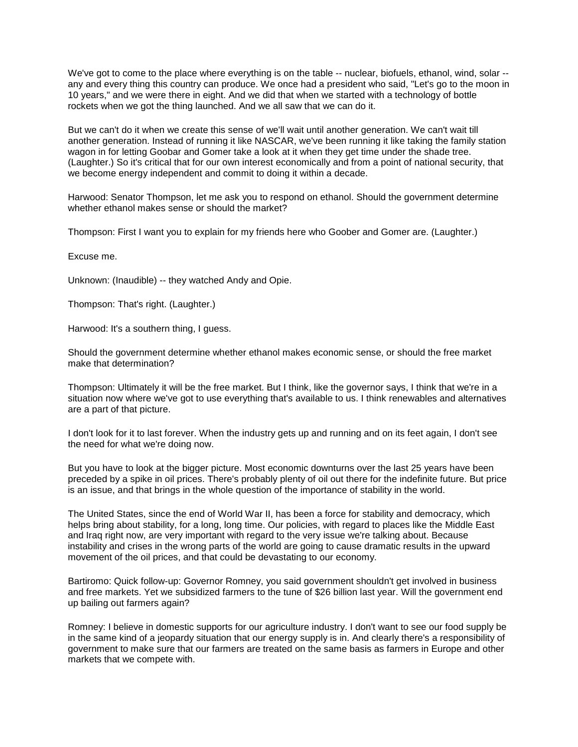We've got to come to the place where everything is on the table -- nuclear, biofuels, ethanol, wind, solar -any and every thing this country can produce. We once had a president who said, "Let's go to the moon in 10 years," and we were there in eight. And we did that when we started with a technology of bottle rockets when we got the thing launched. And we all saw that we can do it.

But we can't do it when we create this sense of we'll wait until another generation. We can't wait till another generation. Instead of running it like NASCAR, we've been running it like taking the family station wagon in for letting Goobar and Gomer take a look at it when they get time under the shade tree. (Laughter.) So it's critical that for our own interest economically and from a point of national security, that we become energy independent and commit to doing it within a decade.

Harwood: Senator Thompson, let me ask you to respond on ethanol. Should the government determine whether ethanol makes sense or should the market?

Thompson: First I want you to explain for my friends here who Goober and Gomer are. (Laughter.)

Excuse me.

Unknown: (Inaudible) -- they watched Andy and Opie.

Thompson: That's right. (Laughter.)

Harwood: It's a southern thing, I guess.

Should the government determine whether ethanol makes economic sense, or should the free market make that determination?

Thompson: Ultimately it will be the free market. But I think, like the governor says, I think that we're in a situation now where we've got to use everything that's available to us. I think renewables and alternatives are a part of that picture.

I don't look for it to last forever. When the industry gets up and running and on its feet again, I don't see the need for what we're doing now.

But you have to look at the bigger picture. Most economic downturns over the last 25 years have been preceded by a spike in oil prices. There's probably plenty of oil out there for the indefinite future. But price is an issue, and that brings in the whole question of the importance of stability in the world.

The United States, since the end of World War II, has been a force for stability and democracy, which helps bring about stability, for a long, long time. Our policies, with regard to places like the Middle East and Iraq right now, are very important with regard to the very issue we're talking about. Because instability and crises in the wrong parts of the world are going to cause dramatic results in the upward movement of the oil prices, and that could be devastating to our economy.

Bartiromo: Quick follow-up: Governor Romney, you said government shouldn't get involved in business and free markets. Yet we subsidized farmers to the tune of \$26 billion last year. Will the government end up bailing out farmers again?

Romney: I believe in domestic supports for our agriculture industry. I don't want to see our food supply be in the same kind of a jeopardy situation that our energy supply is in. And clearly there's a responsibility of government to make sure that our farmers are treated on the same basis as farmers in Europe and other markets that we compete with.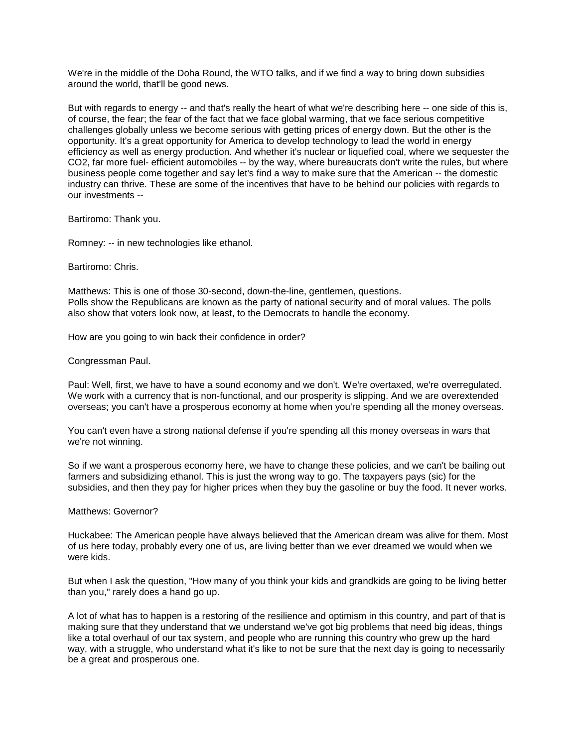We're in the middle of the Doha Round, the WTO talks, and if we find a way to bring down subsidies around the world, that'll be good news.

But with regards to energy -- and that's really the heart of what we're describing here -- one side of this is, of course, the fear; the fear of the fact that we face global warming, that we face serious competitive challenges globally unless we become serious with getting prices of energy down. But the other is the opportunity. It's a great opportunity for America to develop technology to lead the world in energy efficiency as well as energy production. And whether it's nuclear or liquefied coal, where we sequester the CO2, far more fuel- efficient automobiles -- by the way, where bureaucrats don't write the rules, but where business people come together and say let's find a way to make sure that the American -- the domestic industry can thrive. These are some of the incentives that have to be behind our policies with regards to our investments --

Bartiromo: Thank you.

Romney: -- in new technologies like ethanol.

Bartiromo: Chris.

Matthews: This is one of those 30-second, down-the-line, gentlemen, questions. Polls show the Republicans are known as the party of national security and of moral values. The polls also show that voters look now, at least, to the Democrats to handle the economy.

How are you going to win back their confidence in order?

Congressman Paul.

Paul: Well, first, we have to have a sound economy and we don't. We're overtaxed, we're overregulated. We work with a currency that is non-functional, and our prosperity is slipping. And we are overextended overseas; you can't have a prosperous economy at home when you're spending all the money overseas.

You can't even have a strong national defense if you're spending all this money overseas in wars that we're not winning.

So if we want a prosperous economy here, we have to change these policies, and we can't be bailing out farmers and subsidizing ethanol. This is just the wrong way to go. The taxpayers pays (sic) for the subsidies, and then they pay for higher prices when they buy the gasoline or buy the food. It never works.

Matthews: Governor?

Huckabee: The American people have always believed that the American dream was alive for them. Most of us here today, probably every one of us, are living better than we ever dreamed we would when we were kids.

But when I ask the question, "How many of you think your kids and grandkids are going to be living better than you," rarely does a hand go up.

A lot of what has to happen is a restoring of the resilience and optimism in this country, and part of that is making sure that they understand that we understand we've got big problems that need big ideas, things like a total overhaul of our tax system, and people who are running this country who grew up the hard way, with a struggle, who understand what it's like to not be sure that the next day is going to necessarily be a great and prosperous one.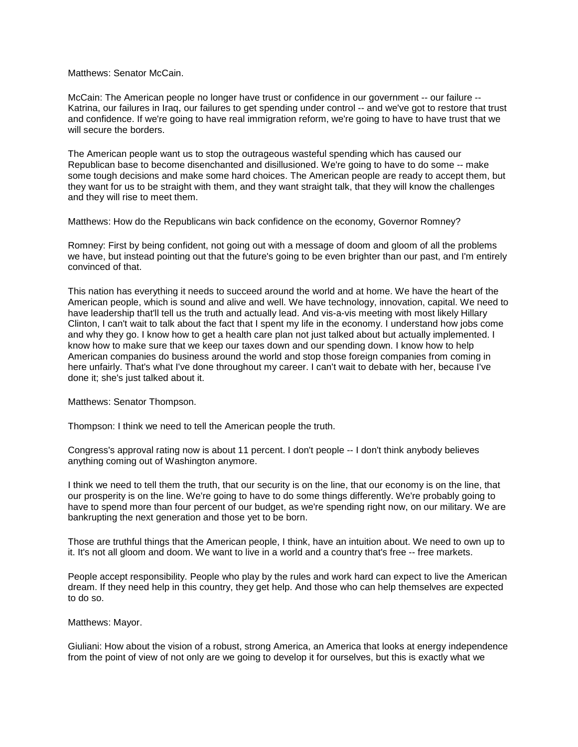## Matthews: Senator McCain.

McCain: The American people no longer have trust or confidence in our government -- our failure -- Katrina, our failures in Iraq, our failures to get spending under control -- and we've got to restore that trust and confidence. If we're going to have real immigration reform, we're going to have to have trust that we will secure the borders.

The American people want us to stop the outrageous wasteful spending which has caused our Republican base to become disenchanted and disillusioned. We're going to have to do some -- make some tough decisions and make some hard choices. The American people are ready to accept them, but they want for us to be straight with them, and they want straight talk, that they will know the challenges and they will rise to meet them.

Matthews: How do the Republicans win back confidence on the economy, Governor Romney?

Romney: First by being confident, not going out with a message of doom and gloom of all the problems we have, but instead pointing out that the future's going to be even brighter than our past, and I'm entirely convinced of that.

This nation has everything it needs to succeed around the world and at home. We have the heart of the American people, which is sound and alive and well. We have technology, innovation, capital. We need to have leadership that'll tell us the truth and actually lead. And vis-a-vis meeting with most likely Hillary Clinton, I can't wait to talk about the fact that I spent my life in the economy. I understand how jobs come and why they go. I know how to get a health care plan not just talked about but actually implemented. I know how to make sure that we keep our taxes down and our spending down. I know how to help American companies do business around the world and stop those foreign companies from coming in here unfairly. That's what I've done throughout my career. I can't wait to debate with her, because I've done it; she's just talked about it.

Matthews: Senator Thompson.

Thompson: I think we need to tell the American people the truth.

Congress's approval rating now is about 11 percent. I don't people -- I don't think anybody believes anything coming out of Washington anymore.

I think we need to tell them the truth, that our security is on the line, that our economy is on the line, that our prosperity is on the line. We're going to have to do some things differently. We're probably going to have to spend more than four percent of our budget, as we're spending right now, on our military. We are bankrupting the next generation and those yet to be born.

Those are truthful things that the American people, I think, have an intuition about. We need to own up to it. It's not all gloom and doom. We want to live in a world and a country that's free -- free markets.

People accept responsibility. People who play by the rules and work hard can expect to live the American dream. If they need help in this country, they get help. And those who can help themselves are expected to do so.

### Matthews: Mayor.

Giuliani: How about the vision of a robust, strong America, an America that looks at energy independence from the point of view of not only are we going to develop it for ourselves, but this is exactly what we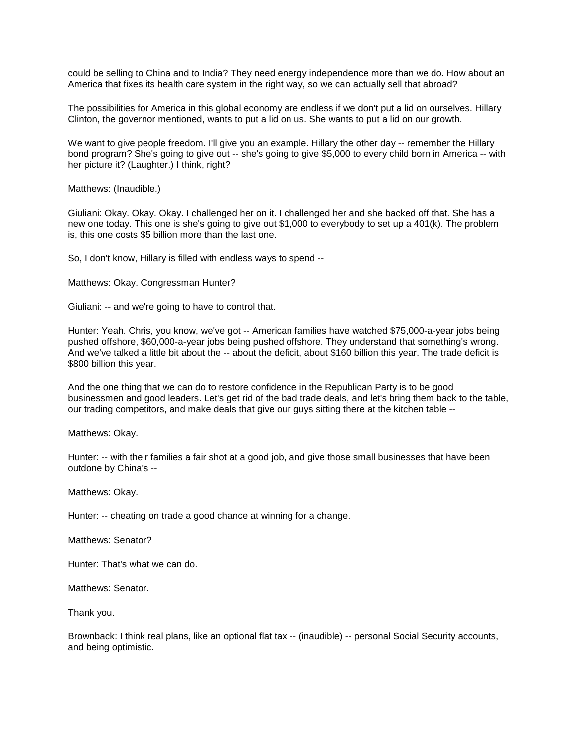could be selling to China and to India? They need energy independence more than we do. How about an America that fixes its health care system in the right way, so we can actually sell that abroad?

The possibilities for America in this global economy are endless if we don't put a lid on ourselves. Hillary Clinton, the governor mentioned, wants to put a lid on us. She wants to put a lid on our growth.

We want to give people freedom. I'll give you an example. Hillary the other day -- remember the Hillary bond program? She's going to give out -- she's going to give \$5,000 to every child born in America -- with her picture it? (Laughter.) I think, right?

Matthews: (Inaudible.)

Giuliani: Okay. Okay. Okay. I challenged her on it. I challenged her and she backed off that. She has a new one today. This one is she's going to give out \$1,000 to everybody to set up a 401(k). The problem is, this one costs \$5 billion more than the last one.

So, I don't know, Hillary is filled with endless ways to spend --

Matthews: Okay. Congressman Hunter?

Giuliani: -- and we're going to have to control that.

Hunter: Yeah. Chris, you know, we've got -- American families have watched \$75,000-a-year jobs being pushed offshore, \$60,000-a-year jobs being pushed offshore. They understand that something's wrong. And we've talked a little bit about the -- about the deficit, about \$160 billion this year. The trade deficit is \$800 billion this year.

And the one thing that we can do to restore confidence in the Republican Party is to be good businessmen and good leaders. Let's get rid of the bad trade deals, and let's bring them back to the table, our trading competitors, and make deals that give our guys sitting there at the kitchen table --

Matthews: Okay.

Hunter: -- with their families a fair shot at a good job, and give those small businesses that have been outdone by China's --

Matthews: Okay.

Hunter: -- cheating on trade a good chance at winning for a change.

Matthews: Senator?

Hunter: That's what we can do.

Matthews: Senator.

Thank you.

Brownback: I think real plans, like an optional flat tax -- (inaudible) -- personal Social Security accounts, and being optimistic.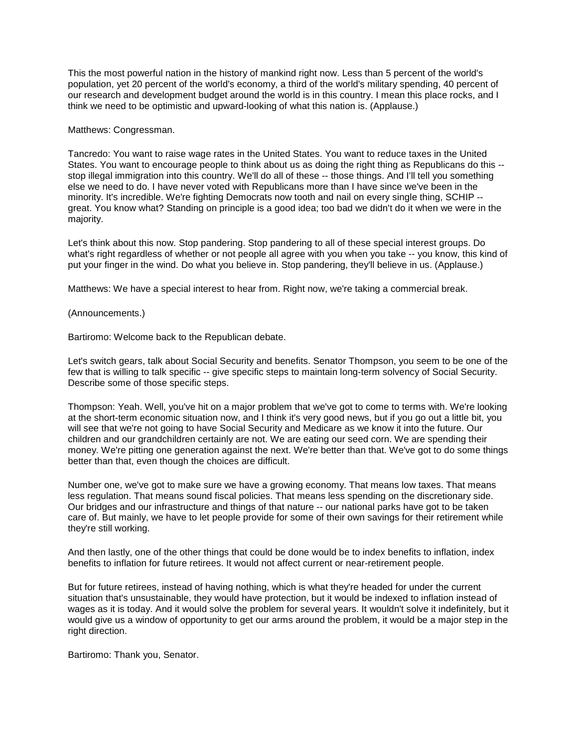This the most powerful nation in the history of mankind right now. Less than 5 percent of the world's population, yet 20 percent of the world's economy, a third of the world's military spending, 40 percent of our research and development budget around the world is in this country. I mean this place rocks, and I think we need to be optimistic and upward-looking of what this nation is. (Applause.)

### Matthews: Congressman.

Tancredo: You want to raise wage rates in the United States. You want to reduce taxes in the United States. You want to encourage people to think about us as doing the right thing as Republicans do this - stop illegal immigration into this country. We'll do all of these -- those things. And I'll tell you something else we need to do. I have never voted with Republicans more than I have since we've been in the minority. It's incredible. We're fighting Democrats now tooth and nail on every single thing, SCHIP - great. You know what? Standing on principle is a good idea; too bad we didn't do it when we were in the majority.

Let's think about this now. Stop pandering. Stop pandering to all of these special interest groups. Do what's right regardless of whether or not people all agree with you when you take -- you know, this kind of put your finger in the wind. Do what you believe in. Stop pandering, they'll believe in us. (Applause.)

Matthews: We have a special interest to hear from. Right now, we're taking a commercial break.

### (Announcements.)

Bartiromo: Welcome back to the Republican debate.

Let's switch gears, talk about Social Security and benefits. Senator Thompson, you seem to be one of the few that is willing to talk specific -- give specific steps to maintain long-term solvency of Social Security. Describe some of those specific steps.

Thompson: Yeah. Well, you've hit on a major problem that we've got to come to terms with. We're looking at the short-term economic situation now, and I think it's very good news, but if you go out a little bit, you will see that we're not going to have Social Security and Medicare as we know it into the future. Our children and our grandchildren certainly are not. We are eating our seed corn. We are spending their money. We're pitting one generation against the next. We're better than that. We've got to do some things better than that, even though the choices are difficult.

Number one, we've got to make sure we have a growing economy. That means low taxes. That means less regulation. That means sound fiscal policies. That means less spending on the discretionary side. Our bridges and our infrastructure and things of that nature -- our national parks have got to be taken care of. But mainly, we have to let people provide for some of their own savings for their retirement while they're still working.

And then lastly, one of the other things that could be done would be to index benefits to inflation, index benefits to inflation for future retirees. It would not affect current or near-retirement people.

But for future retirees, instead of having nothing, which is what they're headed for under the current situation that's unsustainable, they would have protection, but it would be indexed to inflation instead of wages as it is today. And it would solve the problem for several years. It wouldn't solve it indefinitely, but it would give us a window of opportunity to get our arms around the problem, it would be a major step in the right direction.

Bartiromo: Thank you, Senator.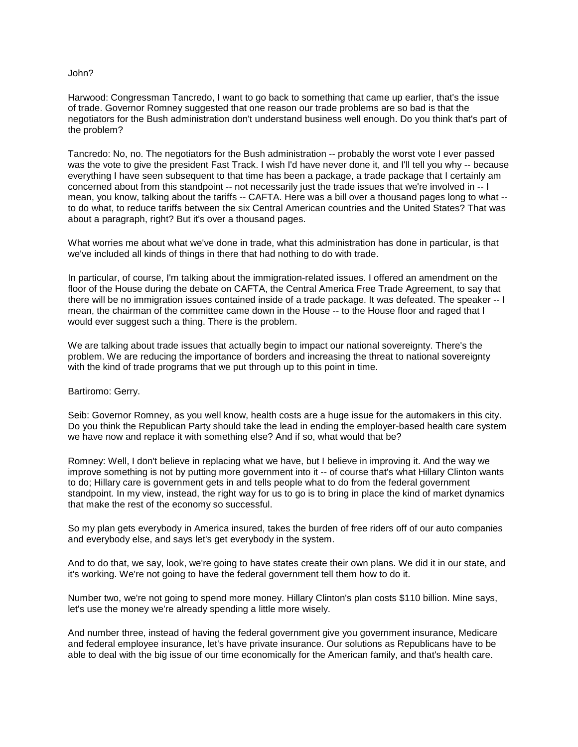## John?

Harwood: Congressman Tancredo, I want to go back to something that came up earlier, that's the issue of trade. Governor Romney suggested that one reason our trade problems are so bad is that the negotiators for the Bush administration don't understand business well enough. Do you think that's part of the problem?

Tancredo: No, no. The negotiators for the Bush administration -- probably the worst vote I ever passed was the vote to give the president Fast Track. I wish I'd have never done it, and I'll tell you why -- because everything I have seen subsequent to that time has been a package, a trade package that I certainly am concerned about from this standpoint -- not necessarily just the trade issues that we're involved in -- I mean, you know, talking about the tariffs -- CAFTA. Here was a bill over a thousand pages long to what -to do what, to reduce tariffs between the six Central American countries and the United States? That was about a paragraph, right? But it's over a thousand pages.

What worries me about what we've done in trade, what this administration has done in particular, is that we've included all kinds of things in there that had nothing to do with trade.

In particular, of course, I'm talking about the immigration-related issues. I offered an amendment on the floor of the House during the debate on CAFTA, the Central America Free Trade Agreement, to say that there will be no immigration issues contained inside of a trade package. It was defeated. The speaker -- I mean, the chairman of the committee came down in the House -- to the House floor and raged that I would ever suggest such a thing. There is the problem.

We are talking about trade issues that actually begin to impact our national sovereignty. There's the problem. We are reducing the importance of borders and increasing the threat to national sovereignty with the kind of trade programs that we put through up to this point in time.

Bartiromo: Gerry.

Seib: Governor Romney, as you well know, health costs are a huge issue for the automakers in this city. Do you think the Republican Party should take the lead in ending the employer-based health care system we have now and replace it with something else? And if so, what would that be?

Romney: Well, I don't believe in replacing what we have, but I believe in improving it. And the way we improve something is not by putting more government into it -- of course that's what Hillary Clinton wants to do; Hillary care is government gets in and tells people what to do from the federal government standpoint. In my view, instead, the right way for us to go is to bring in place the kind of market dynamics that make the rest of the economy so successful.

So my plan gets everybody in America insured, takes the burden of free riders off of our auto companies and everybody else, and says let's get everybody in the system.

And to do that, we say, look, we're going to have states create their own plans. We did it in our state, and it's working. We're not going to have the federal government tell them how to do it.

Number two, we're not going to spend more money. Hillary Clinton's plan costs \$110 billion. Mine says, let's use the money we're already spending a little more wisely.

And number three, instead of having the federal government give you government insurance, Medicare and federal employee insurance, let's have private insurance. Our solutions as Republicans have to be able to deal with the big issue of our time economically for the American family, and that's health care.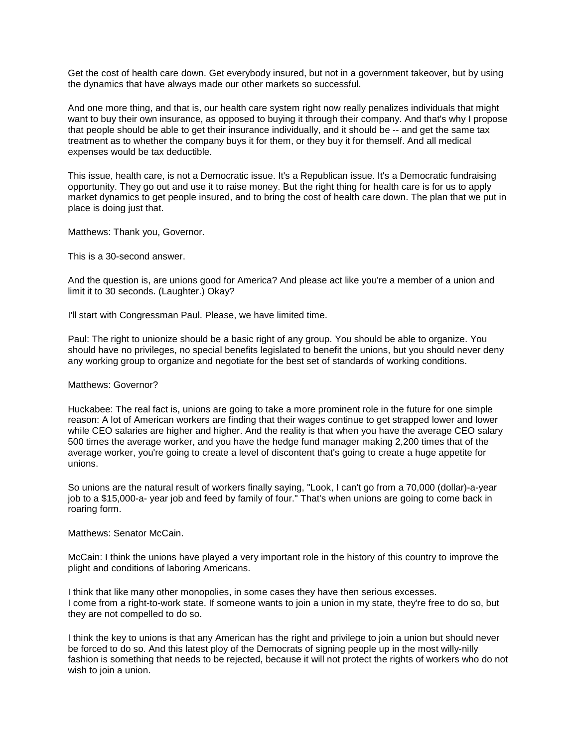Get the cost of health care down. Get everybody insured, but not in a government takeover, but by using the dynamics that have always made our other markets so successful.

And one more thing, and that is, our health care system right now really penalizes individuals that might want to buy their own insurance, as opposed to buying it through their company. And that's why I propose that people should be able to get their insurance individually, and it should be -- and get the same tax treatment as to whether the company buys it for them, or they buy it for themself. And all medical expenses would be tax deductible.

This issue, health care, is not a Democratic issue. It's a Republican issue. It's a Democratic fundraising opportunity. They go out and use it to raise money. But the right thing for health care is for us to apply market dynamics to get people insured, and to bring the cost of health care down. The plan that we put in place is doing just that.

Matthews: Thank you, Governor.

This is a 30-second answer.

And the question is, are unions good for America? And please act like you're a member of a union and limit it to 30 seconds. (Laughter.) Okay?

I'll start with Congressman Paul. Please, we have limited time.

Paul: The right to unionize should be a basic right of any group. You should be able to organize. You should have no privileges, no special benefits legislated to benefit the unions, but you should never deny any working group to organize and negotiate for the best set of standards of working conditions.

## Matthews: Governor?

Huckabee: The real fact is, unions are going to take a more prominent role in the future for one simple reason: A lot of American workers are finding that their wages continue to get strapped lower and lower while CEO salaries are higher and higher. And the reality is that when you have the average CEO salary 500 times the average worker, and you have the hedge fund manager making 2,200 times that of the average worker, you're going to create a level of discontent that's going to create a huge appetite for unions.

So unions are the natural result of workers finally saying, "Look, I can't go from a 70,000 (dollar)-a-year job to a \$15,000-a- year job and feed by family of four." That's when unions are going to come back in roaring form.

#### Matthews: Senator McCain.

McCain: I think the unions have played a very important role in the history of this country to improve the plight and conditions of laboring Americans.

I think that like many other monopolies, in some cases they have then serious excesses. I come from a right-to-work state. If someone wants to join a union in my state, they're free to do so, but they are not compelled to do so.

I think the key to unions is that any American has the right and privilege to join a union but should never be forced to do so. And this latest ploy of the Democrats of signing people up in the most willy-nilly fashion is something that needs to be rejected, because it will not protect the rights of workers who do not wish to join a union.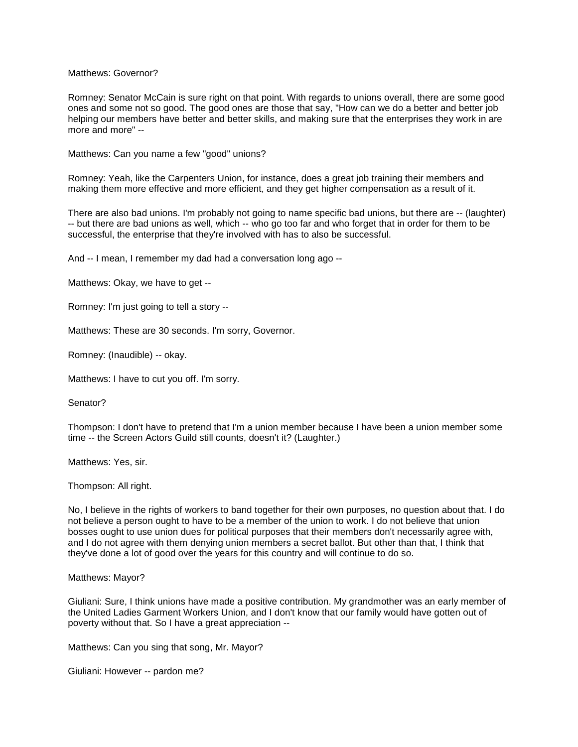## Matthews: Governor?

Romney: Senator McCain is sure right on that point. With regards to unions overall, there are some good ones and some not so good. The good ones are those that say, "How can we do a better and better job helping our members have better and better skills, and making sure that the enterprises they work in are more and more" --

Matthews: Can you name a few "good" unions?

Romney: Yeah, like the Carpenters Union, for instance, does a great job training their members and making them more effective and more efficient, and they get higher compensation as a result of it.

There are also bad unions. I'm probably not going to name specific bad unions, but there are -- (laughter) -- but there are bad unions as well, which -- who go too far and who forget that in order for them to be successful, the enterprise that they're involved with has to also be successful.

And -- I mean, I remember my dad had a conversation long ago --

Matthews: Okay, we have to get --

Romney: I'm just going to tell a story --

Matthews: These are 30 seconds. I'm sorry, Governor.

Romney: (Inaudible) -- okay.

Matthews: I have to cut you off. I'm sorry.

Senator?

Thompson: I don't have to pretend that I'm a union member because I have been a union member some time -- the Screen Actors Guild still counts, doesn't it? (Laughter.)

Matthews: Yes, sir.

Thompson: All right.

No, I believe in the rights of workers to band together for their own purposes, no question about that. I do not believe a person ought to have to be a member of the union to work. I do not believe that union bosses ought to use union dues for political purposes that their members don't necessarily agree with, and I do not agree with them denying union members a secret ballot. But other than that, I think that they've done a lot of good over the years for this country and will continue to do so.

Matthews: Mayor?

Giuliani: Sure, I think unions have made a positive contribution. My grandmother was an early member of the United Ladies Garment Workers Union, and I don't know that our family would have gotten out of poverty without that. So I have a great appreciation --

Matthews: Can you sing that song, Mr. Mayor?

Giuliani: However -- pardon me?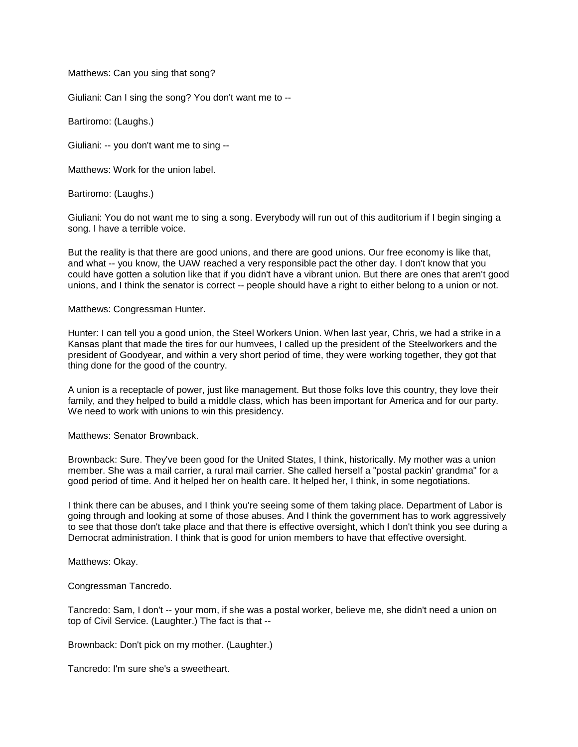Matthews: Can you sing that song?

Giuliani: Can I sing the song? You don't want me to --

Bartiromo: (Laughs.)

Giuliani: -- you don't want me to sing --

Matthews: Work for the union label.

Bartiromo: (Laughs.)

Giuliani: You do not want me to sing a song. Everybody will run out of this auditorium if I begin singing a song. I have a terrible voice.

But the reality is that there are good unions, and there are good unions. Our free economy is like that, and what -- you know, the UAW reached a very responsible pact the other day. I don't know that you could have gotten a solution like that if you didn't have a vibrant union. But there are ones that aren't good unions, and I think the senator is correct -- people should have a right to either belong to a union or not.

Matthews: Congressman Hunter.

Hunter: I can tell you a good union, the Steel Workers Union. When last year, Chris, we had a strike in a Kansas plant that made the tires for our humvees, I called up the president of the Steelworkers and the president of Goodyear, and within a very short period of time, they were working together, they got that thing done for the good of the country.

A union is a receptacle of power, just like management. But those folks love this country, they love their family, and they helped to build a middle class, which has been important for America and for our party. We need to work with unions to win this presidency.

Matthews: Senator Brownback.

Brownback: Sure. They've been good for the United States, I think, historically. My mother was a union member. She was a mail carrier, a rural mail carrier. She called herself a "postal packin' grandma" for a good period of time. And it helped her on health care. It helped her, I think, in some negotiations.

I think there can be abuses, and I think you're seeing some of them taking place. Department of Labor is going through and looking at some of those abuses. And I think the government has to work aggressively to see that those don't take place and that there is effective oversight, which I don't think you see during a Democrat administration. I think that is good for union members to have that effective oversight.

Matthews: Okay.

Congressman Tancredo.

Tancredo: Sam, I don't -- your mom, if she was a postal worker, believe me, she didn't need a union on top of Civil Service. (Laughter.) The fact is that --

Brownback: Don't pick on my mother. (Laughter.)

Tancredo: I'm sure she's a sweetheart.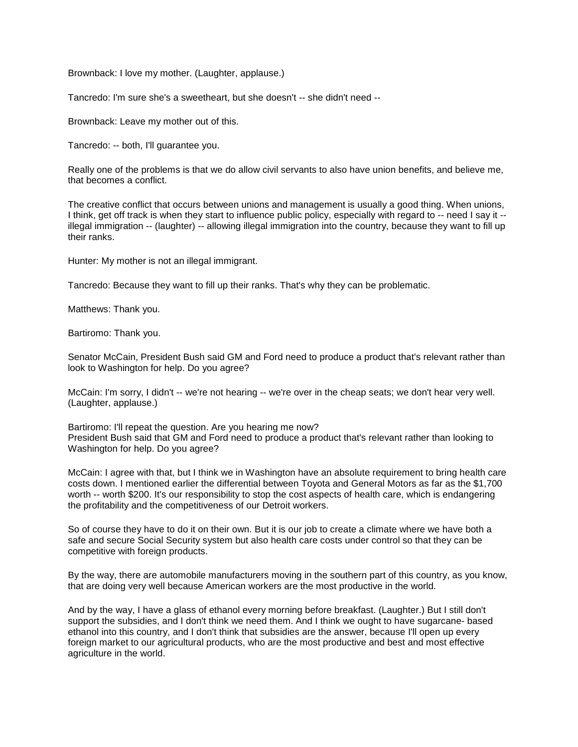Brownback: I love my mother. (Laughter, applause.)

Tancredo: I'm sure she's a sweetheart, but she doesn't -- she didn't need --

Brownback: Leave my mother out of this.

Tancredo: -- both, I'll guarantee you.

Really one of the problems is that we do allow civil servants to also have union benefits, and believe me, that becomes a conflict.

The creative conflict that occurs between unions and management is usually a good thing. When unions, I think, get off track is when they start to influence public policy, especially with regard to -- need I say it - illegal immigration -- (laughter) -- allowing illegal immigration into the country, because they want to fill up their ranks.

Hunter: My mother is not an illegal immigrant.

Tancredo: Because they want to fill up their ranks. That's why they can be problematic.

Matthews: Thank you.

Bartiromo: Thank you.

Senator McCain, President Bush said GM and Ford need to produce a product that's relevant rather than look to Washington for help. Do you agree?

McCain: I'm sorry, I didn't -- we're not hearing -- we're over in the cheap seats; we don't hear very well. (Laughter, applause.)

Bartiromo: I'll repeat the question. Are you hearing me now? President Bush said that GM and Ford need to produce a product that's relevant rather than looking to Washington for help. Do you agree?

McCain: I agree with that, but I think we in Washington have an absolute requirement to bring health care costs down. I mentioned earlier the differential between Toyota and General Motors as far as the \$1,700 worth -- worth \$200. It's our responsibility to stop the cost aspects of health care, which is endangering the profitability and the competitiveness of our Detroit workers.

So of course they have to do it on their own. But it is our job to create a climate where we have both a safe and secure Social Security system but also health care costs under control so that they can be competitive with foreign products.

By the way, there are automobile manufacturers moving in the southern part of this country, as you know, that are doing very well because American workers are the most productive in the world.

And by the way, I have a glass of ethanol every morning before breakfast. (Laughter.) But I still don't support the subsidies, and I don't think we need them. And I think we ought to have sugarcane- based ethanol into this country, and I don't think that subsidies are the answer, because I'll open up every foreign market to our agricultural products, who are the most productive and best and most effective agriculture in the world.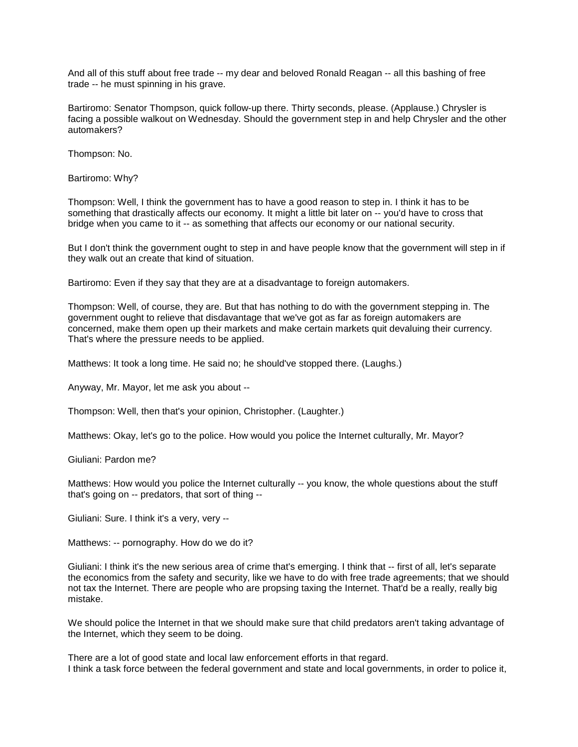And all of this stuff about free trade -- my dear and beloved Ronald Reagan -- all this bashing of free trade -- he must spinning in his grave.

Bartiromo: Senator Thompson, quick follow-up there. Thirty seconds, please. (Applause.) Chrysler is facing a possible walkout on Wednesday. Should the government step in and help Chrysler and the other automakers?

Thompson: No.

Bartiromo: Why?

Thompson: Well, I think the government has to have a good reason to step in. I think it has to be something that drastically affects our economy. It might a little bit later on -- you'd have to cross that bridge when you came to it -- as something that affects our economy or our national security.

But I don't think the government ought to step in and have people know that the government will step in if they walk out an create that kind of situation.

Bartiromo: Even if they say that they are at a disadvantage to foreign automakers.

Thompson: Well, of course, they are. But that has nothing to do with the government stepping in. The government ought to relieve that disdavantage that we've got as far as foreign automakers are concerned, make them open up their markets and make certain markets quit devaluing their currency. That's where the pressure needs to be applied.

Matthews: It took a long time. He said no; he should've stopped there. (Laughs.)

Anyway, Mr. Mayor, let me ask you about --

Thompson: Well, then that's your opinion, Christopher. (Laughter.)

Matthews: Okay, let's go to the police. How would you police the Internet culturally, Mr. Mayor?

Giuliani: Pardon me?

Matthews: How would you police the Internet culturally -- you know, the whole questions about the stuff that's going on -- predators, that sort of thing --

Giuliani: Sure. I think it's a very, very --

Matthews: -- pornography. How do we do it?

Giuliani: I think it's the new serious area of crime that's emerging. I think that -- first of all, let's separate the economics from the safety and security, like we have to do with free trade agreements; that we should not tax the Internet. There are people who are propsing taxing the Internet. That'd be a really, really big mistake.

We should police the Internet in that we should make sure that child predators aren't taking advantage of the Internet, which they seem to be doing.

There are a lot of good state and local law enforcement efforts in that regard. I think a task force between the federal government and state and local governments, in order to police it,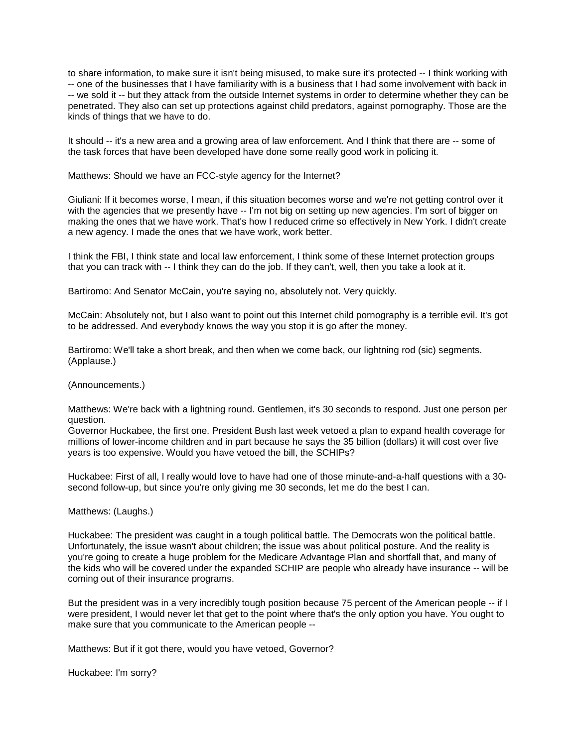to share information, to make sure it isn't being misused, to make sure it's protected -- I think working with -- one of the businesses that I have familiarity with is a business that I had some involvement with back in -- we sold it -- but they attack from the outside Internet systems in order to determine whether they can be penetrated. They also can set up protections against child predators, against pornography. Those are the kinds of things that we have to do.

It should -- it's a new area and a growing area of law enforcement. And I think that there are -- some of the task forces that have been developed have done some really good work in policing it.

Matthews: Should we have an FCC-style agency for the Internet?

Giuliani: If it becomes worse, I mean, if this situation becomes worse and we're not getting control over it with the agencies that we presently have -- I'm not big on setting up new agencies. I'm sort of bigger on making the ones that we have work. That's how I reduced crime so effectively in New York. I didn't create a new agency. I made the ones that we have work, work better.

I think the FBI, I think state and local law enforcement, I think some of these Internet protection groups that you can track with -- I think they can do the job. If they can't, well, then you take a look at it.

Bartiromo: And Senator McCain, you're saying no, absolutely not. Very quickly.

McCain: Absolutely not, but I also want to point out this Internet child pornography is a terrible evil. It's got to be addressed. And everybody knows the way you stop it is go after the money.

Bartiromo: We'll take a short break, and then when we come back, our lightning rod (sic) segments. (Applause.)

(Announcements.)

Matthews: We're back with a lightning round. Gentlemen, it's 30 seconds to respond. Just one person per question.

Governor Huckabee, the first one. President Bush last week vetoed a plan to expand health coverage for millions of lower-income children and in part because he says the 35 billion (dollars) it will cost over five years is too expensive. Would you have vetoed the bill, the SCHIPs?

Huckabee: First of all, I really would love to have had one of those minute-and-a-half questions with a 30 second follow-up, but since you're only giving me 30 seconds, let me do the best I can.

Matthews: (Laughs.)

Huckabee: The president was caught in a tough political battle. The Democrats won the political battle. Unfortunately, the issue wasn't about children; the issue was about political posture. And the reality is you're going to create a huge problem for the Medicare Advantage Plan and shortfall that, and many of the kids who will be covered under the expanded SCHIP are people who already have insurance -- will be coming out of their insurance programs.

But the president was in a very incredibly tough position because 75 percent of the American people -- if I were president, I would never let that get to the point where that's the only option you have. You ought to make sure that you communicate to the American people --

Matthews: But if it got there, would you have vetoed, Governor?

Huckabee: I'm sorry?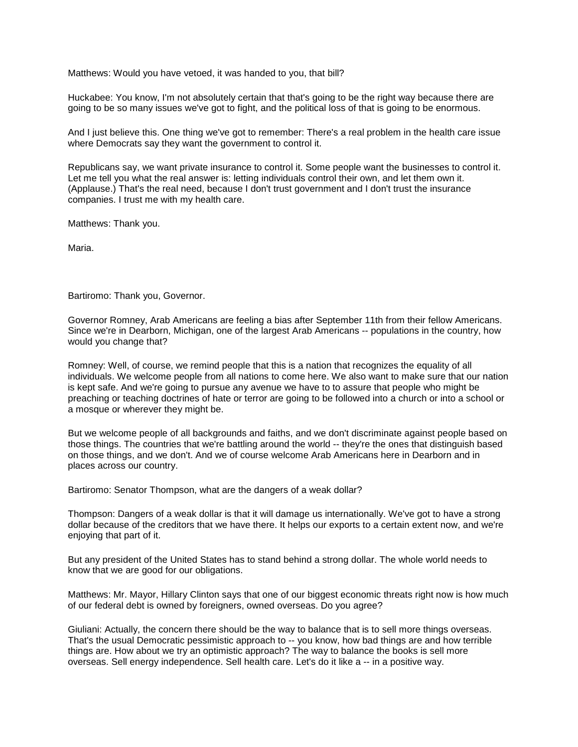Matthews: Would you have vetoed, it was handed to you, that bill?

Huckabee: You know, I'm not absolutely certain that that's going to be the right way because there are going to be so many issues we've got to fight, and the political loss of that is going to be enormous.

And I just believe this. One thing we've got to remember: There's a real problem in the health care issue where Democrats say they want the government to control it.

Republicans say, we want private insurance to control it. Some people want the businesses to control it. Let me tell you what the real answer is: letting individuals control their own, and let them own it. (Applause.) That's the real need, because I don't trust government and I don't trust the insurance companies. I trust me with my health care.

Matthews: Thank you.

Maria.

Bartiromo: Thank you, Governor.

Governor Romney, Arab Americans are feeling a bias after September 11th from their fellow Americans. Since we're in Dearborn, Michigan, one of the largest Arab Americans -- populations in the country, how would you change that?

Romney: Well, of course, we remind people that this is a nation that recognizes the equality of all individuals. We welcome people from all nations to come here. We also want to make sure that our nation is kept safe. And we're going to pursue any avenue we have to to assure that people who might be preaching or teaching doctrines of hate or terror are going to be followed into a church or into a school or a mosque or wherever they might be.

But we welcome people of all backgrounds and faiths, and we don't discriminate against people based on those things. The countries that we're battling around the world -- they're the ones that distinguish based on those things, and we don't. And we of course welcome Arab Americans here in Dearborn and in places across our country.

Bartiromo: Senator Thompson, what are the dangers of a weak dollar?

Thompson: Dangers of a weak dollar is that it will damage us internationally. We've got to have a strong dollar because of the creditors that we have there. It helps our exports to a certain extent now, and we're enjoying that part of it.

But any president of the United States has to stand behind a strong dollar. The whole world needs to know that we are good for our obligations.

Matthews: Mr. Mayor, Hillary Clinton says that one of our biggest economic threats right now is how much of our federal debt is owned by foreigners, owned overseas. Do you agree?

Giuliani: Actually, the concern there should be the way to balance that is to sell more things overseas. That's the usual Democratic pessimistic approach to -- you know, how bad things are and how terrible things are. How about we try an optimistic approach? The way to balance the books is sell more overseas. Sell energy independence. Sell health care. Let's do it like a -- in a positive way.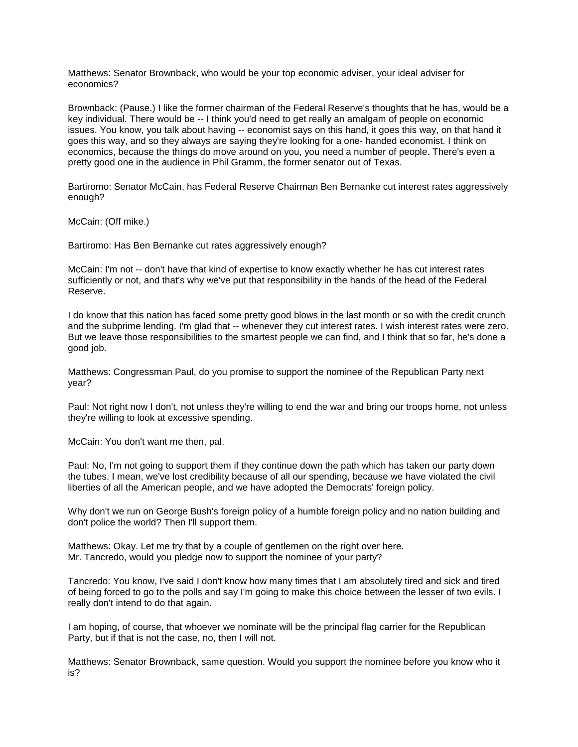Matthews: Senator Brownback, who would be your top economic adviser, your ideal adviser for economics?

Brownback: (Pause.) I like the former chairman of the Federal Reserve's thoughts that he has, would be a key individual. There would be -- I think you'd need to get really an amalgam of people on economic issues. You know, you talk about having -- economist says on this hand, it goes this way, on that hand it goes this way, and so they always are saying they're looking for a one- handed economist. I think on economics, because the things do move around on you, you need a number of people. There's even a pretty good one in the audience in Phil Gramm, the former senator out of Texas.

Bartiromo: Senator McCain, has Federal Reserve Chairman Ben Bernanke cut interest rates aggressively enough?

McCain: (Off mike.)

Bartiromo: Has Ben Bernanke cut rates aggressively enough?

McCain: I'm not -- don't have that kind of expertise to know exactly whether he has cut interest rates sufficiently or not, and that's why we've put that responsibility in the hands of the head of the Federal Reserve.

I do know that this nation has faced some pretty good blows in the last month or so with the credit crunch and the subprime lending. I'm glad that -- whenever they cut interest rates. I wish interest rates were zero. But we leave those responsibilities to the smartest people we can find, and I think that so far, he's done a good job.

Matthews: Congressman Paul, do you promise to support the nominee of the Republican Party next year?

Paul: Not right now I don't, not unless they're willing to end the war and bring our troops home, not unless they're willing to look at excessive spending.

McCain: You don't want me then, pal.

Paul: No, I'm not going to support them if they continue down the path which has taken our party down the tubes. I mean, we've lost credibility because of all our spending, because we have violated the civil liberties of all the American people, and we have adopted the Democrats' foreign policy.

Why don't we run on George Bush's foreign policy of a humble foreign policy and no nation building and don't police the world? Then I'll support them.

Matthews: Okay. Let me try that by a couple of gentlemen on the right over here. Mr. Tancredo, would you pledge now to support the nominee of your party?

Tancredo: You know, I've said I don't know how many times that I am absolutely tired and sick and tired of being forced to go to the polls and say I'm going to make this choice between the lesser of two evils. I really don't intend to do that again.

I am hoping, of course, that whoever we nominate will be the principal flag carrier for the Republican Party, but if that is not the case, no, then I will not.

Matthews: Senator Brownback, same question. Would you support the nominee before you know who it is?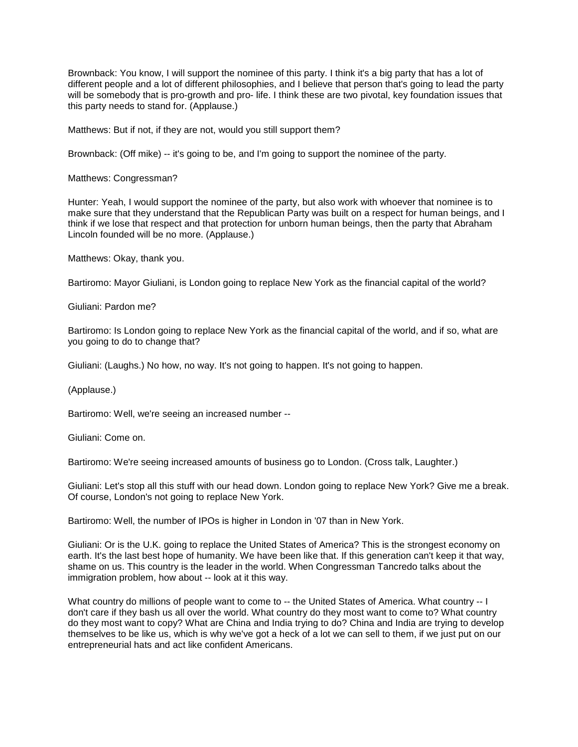Brownback: You know, I will support the nominee of this party. I think it's a big party that has a lot of different people and a lot of different philosophies, and I believe that person that's going to lead the party will be somebody that is pro-growth and pro- life. I think these are two pivotal, key foundation issues that this party needs to stand for. (Applause.)

Matthews: But if not, if they are not, would you still support them?

Brownback: (Off mike) -- it's going to be, and I'm going to support the nominee of the party.

Matthews: Congressman?

Hunter: Yeah, I would support the nominee of the party, but also work with whoever that nominee is to make sure that they understand that the Republican Party was built on a respect for human beings, and I think if we lose that respect and that protection for unborn human beings, then the party that Abraham Lincoln founded will be no more. (Applause.)

Matthews: Okay, thank you.

Bartiromo: Mayor Giuliani, is London going to replace New York as the financial capital of the world?

Giuliani: Pardon me?

Bartiromo: Is London going to replace New York as the financial capital of the world, and if so, what are you going to do to change that?

Giuliani: (Laughs.) No how, no way. It's not going to happen. It's not going to happen.

(Applause.)

Bartiromo: Well, we're seeing an increased number --

Giuliani: Come on.

Bartiromo: We're seeing increased amounts of business go to London. (Cross talk, Laughter.)

Giuliani: Let's stop all this stuff with our head down. London going to replace New York? Give me a break. Of course, London's not going to replace New York.

Bartiromo: Well, the number of IPOs is higher in London in '07 than in New York.

Giuliani: Or is the U.K. going to replace the United States of America? This is the strongest economy on earth. It's the last best hope of humanity. We have been like that. If this generation can't keep it that way, shame on us. This country is the leader in the world. When Congressman Tancredo talks about the immigration problem, how about -- look at it this way.

What country do millions of people want to come to -- the United States of America. What country -- I don't care if they bash us all over the world. What country do they most want to come to? What country do they most want to copy? What are China and India trying to do? China and India are trying to develop themselves to be like us, which is why we've got a heck of a lot we can sell to them, if we just put on our entrepreneurial hats and act like confident Americans.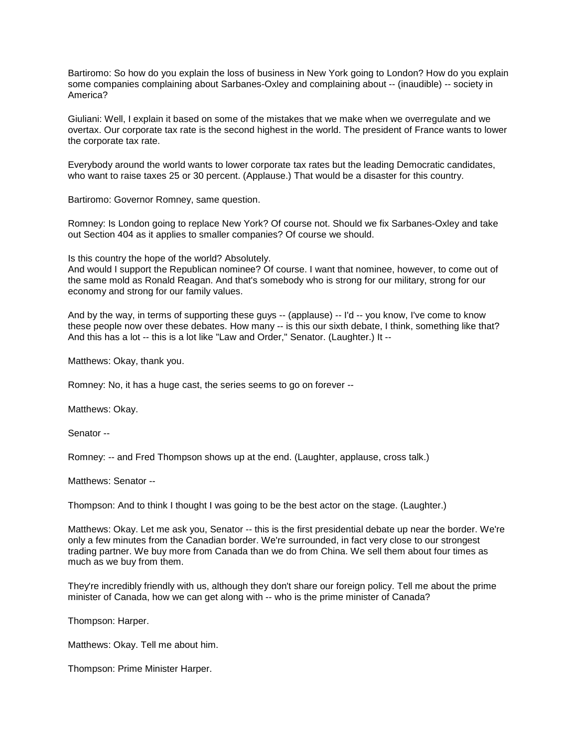Bartiromo: So how do you explain the loss of business in New York going to London? How do you explain some companies complaining about Sarbanes-Oxley and complaining about -- (inaudible) -- society in America?

Giuliani: Well, I explain it based on some of the mistakes that we make when we overregulate and we overtax. Our corporate tax rate is the second highest in the world. The president of France wants to lower the corporate tax rate.

Everybody around the world wants to lower corporate tax rates but the leading Democratic candidates, who want to raise taxes 25 or 30 percent. (Applause.) That would be a disaster for this country.

Bartiromo: Governor Romney, same question.

Romney: Is London going to replace New York? Of course not. Should we fix Sarbanes-Oxley and take out Section 404 as it applies to smaller companies? Of course we should.

Is this country the hope of the world? Absolutely.

And would I support the Republican nominee? Of course. I want that nominee, however, to come out of the same mold as Ronald Reagan. And that's somebody who is strong for our military, strong for our economy and strong for our family values.

And by the way, in terms of supporting these guys -- (applause) -- I'd -- you know, I've come to know these people now over these debates. How many -- is this our sixth debate, I think, something like that? And this has a lot -- this is a lot like "Law and Order," Senator. (Laughter.) It --

Matthews: Okay, thank you.

Romney: No, it has a huge cast, the series seems to go on forever --

Matthews: Okay.

Senator --

Romney: -- and Fred Thompson shows up at the end. (Laughter, applause, cross talk.)

Matthews: Senator --

Thompson: And to think I thought I was going to be the best actor on the stage. (Laughter.)

Matthews: Okay. Let me ask you, Senator -- this is the first presidential debate up near the border. We're only a few minutes from the Canadian border. We're surrounded, in fact very close to our strongest trading partner. We buy more from Canada than we do from China. We sell them about four times as much as we buy from them.

They're incredibly friendly with us, although they don't share our foreign policy. Tell me about the prime minister of Canada, how we can get along with -- who is the prime minister of Canada?

Thompson: Harper.

Matthews: Okay. Tell me about him.

Thompson: Prime Minister Harper.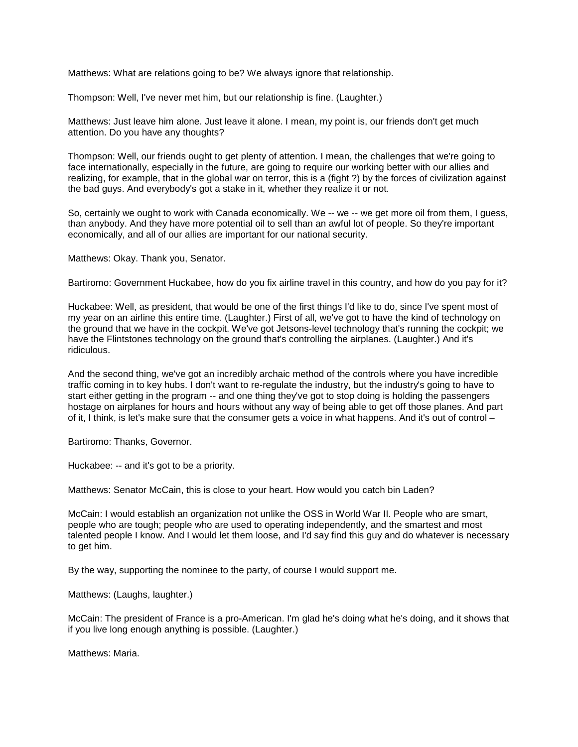Matthews: What are relations going to be? We always ignore that relationship.

Thompson: Well, I've never met him, but our relationship is fine. (Laughter.)

Matthews: Just leave him alone. Just leave it alone. I mean, my point is, our friends don't get much attention. Do you have any thoughts?

Thompson: Well, our friends ought to get plenty of attention. I mean, the challenges that we're going to face internationally, especially in the future, are going to require our working better with our allies and realizing, for example, that in the global war on terror, this is a (fight ?) by the forces of civilization against the bad guys. And everybody's got a stake in it, whether they realize it or not.

So, certainly we ought to work with Canada economically. We -- we -- we get more oil from them, I guess, than anybody. And they have more potential oil to sell than an awful lot of people. So they're important economically, and all of our allies are important for our national security.

Matthews: Okay. Thank you, Senator.

Bartiromo: Government Huckabee, how do you fix airline travel in this country, and how do you pay for it?

Huckabee: Well, as president, that would be one of the first things I'd like to do, since I've spent most of my year on an airline this entire time. (Laughter.) First of all, we've got to have the kind of technology on the ground that we have in the cockpit. We've got Jetsons-level technology that's running the cockpit; we have the Flintstones technology on the ground that's controlling the airplanes. (Laughter.) And it's ridiculous.

And the second thing, we've got an incredibly archaic method of the controls where you have incredible traffic coming in to key hubs. I don't want to re-regulate the industry, but the industry's going to have to start either getting in the program -- and one thing they've got to stop doing is holding the passengers hostage on airplanes for hours and hours without any way of being able to get off those planes. And part of it, I think, is let's make sure that the consumer gets a voice in what happens. And it's out of control –

Bartiromo: Thanks, Governor.

Huckabee: -- and it's got to be a priority.

Matthews: Senator McCain, this is close to your heart. How would you catch bin Laden?

McCain: I would establish an organization not unlike the OSS in World War II. People who are smart, people who are tough; people who are used to operating independently, and the smartest and most talented people I know. And I would let them loose, and I'd say find this guy and do whatever is necessary to get him.

By the way, supporting the nominee to the party, of course I would support me.

Matthews: (Laughs, laughter.)

McCain: The president of France is a pro-American. I'm glad he's doing what he's doing, and it shows that if you live long enough anything is possible. (Laughter.)

Matthews: Maria.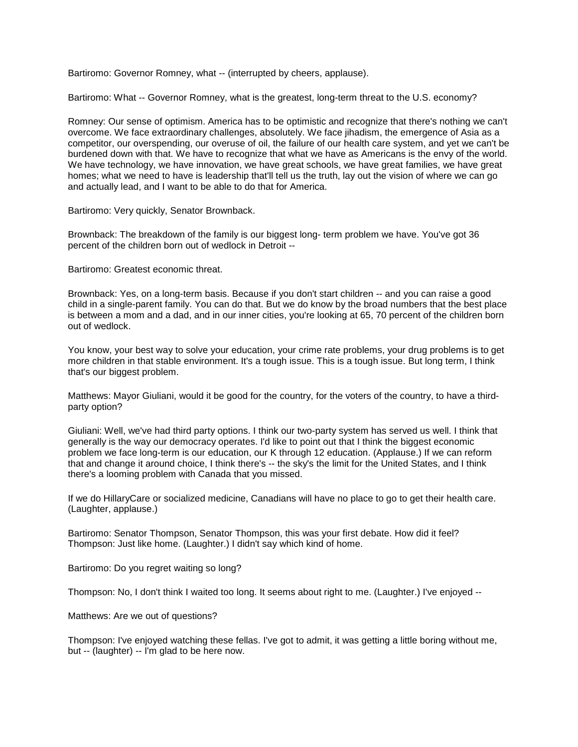Bartiromo: Governor Romney, what -- (interrupted by cheers, applause).

Bartiromo: What -- Governor Romney, what is the greatest, long-term threat to the U.S. economy?

Romney: Our sense of optimism. America has to be optimistic and recognize that there's nothing we can't overcome. We face extraordinary challenges, absolutely. We face jihadism, the emergence of Asia as a competitor, our overspending, our overuse of oil, the failure of our health care system, and yet we can't be burdened down with that. We have to recognize that what we have as Americans is the envy of the world. We have technology, we have innovation, we have great schools, we have great families, we have great homes; what we need to have is leadership that'll tell us the truth, lay out the vision of where we can go and actually lead, and I want to be able to do that for America.

Bartiromo: Very quickly, Senator Brownback.

Brownback: The breakdown of the family is our biggest long- term problem we have. You've got 36 percent of the children born out of wedlock in Detroit --

Bartiromo: Greatest economic threat.

Brownback: Yes, on a long-term basis. Because if you don't start children -- and you can raise a good child in a single-parent family. You can do that. But we do know by the broad numbers that the best place is between a mom and a dad, and in our inner cities, you're looking at 65, 70 percent of the children born out of wedlock.

You know, your best way to solve your education, your crime rate problems, your drug problems is to get more children in that stable environment. It's a tough issue. This is a tough issue. But long term, I think that's our biggest problem.

Matthews: Mayor Giuliani, would it be good for the country, for the voters of the country, to have a thirdparty option?

Giuliani: Well, we've had third party options. I think our two-party system has served us well. I think that generally is the way our democracy operates. I'd like to point out that I think the biggest economic problem we face long-term is our education, our K through 12 education. (Applause.) If we can reform that and change it around choice, I think there's -- the sky's the limit for the United States, and I think there's a looming problem with Canada that you missed.

If we do HillaryCare or socialized medicine, Canadians will have no place to go to get their health care. (Laughter, applause.)

Bartiromo: Senator Thompson, Senator Thompson, this was your first debate. How did it feel? Thompson: Just like home. (Laughter.) I didn't say which kind of home.

Bartiromo: Do you regret waiting so long?

Thompson: No, I don't think I waited too long. It seems about right to me. (Laughter.) I've enjoyed --

Matthews: Are we out of questions?

Thompson: I've enjoyed watching these fellas. I've got to admit, it was getting a little boring without me, but -- (laughter) -- I'm glad to be here now.